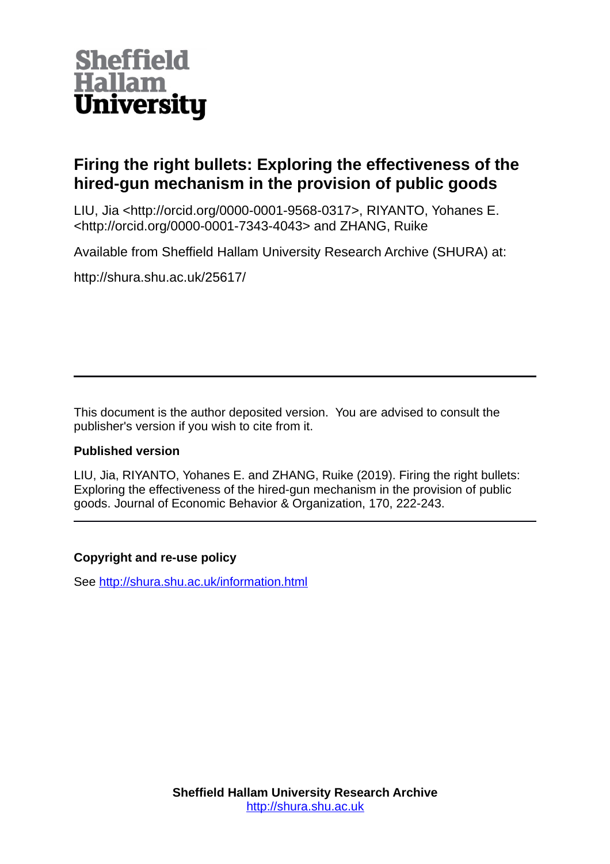

# **Firing the right bullets: Exploring the effectiveness of the hired-gun mechanism in the provision of public goods**

LIU, Jia <http://orcid.org/0000-0001-9568-0317>, RIYANTO, Yohanes E. <http://orcid.org/0000-0001-7343-4043> and ZHANG, Ruike

Available from Sheffield Hallam University Research Archive (SHURA) at:

http://shura.shu.ac.uk/25617/

This document is the author deposited version. You are advised to consult the publisher's version if you wish to cite from it.

## **Published version**

LIU, Jia, RIYANTO, Yohanes E. and ZHANG, Ruike (2019). Firing the right bullets: Exploring the effectiveness of the hired-gun mechanism in the provision of public goods. Journal of Economic Behavior & Organization, 170, 222-243.

## **Copyright and re-use policy**

See<http://shura.shu.ac.uk/information.html>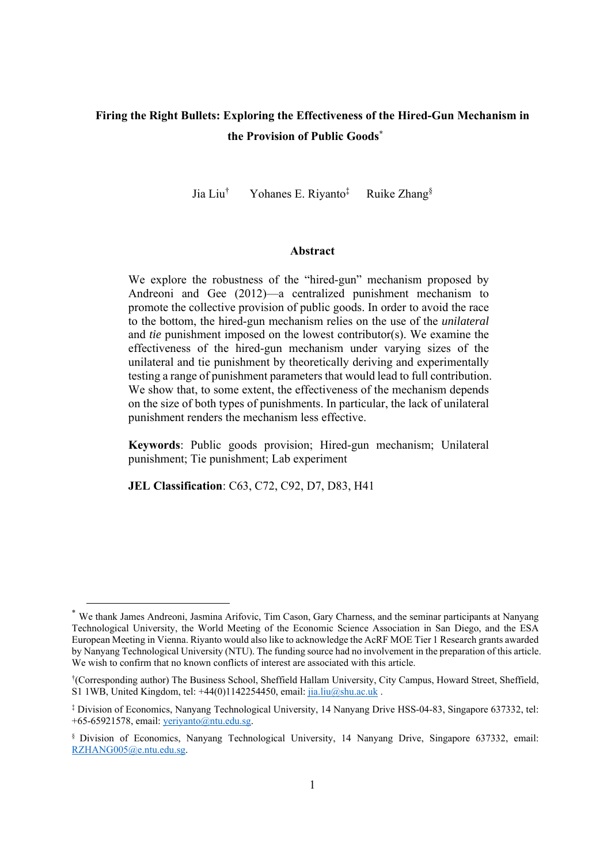## **Firing the Right Bullets: Exploring the Effectiveness of the Hired-Gun Mechanism in the Provision of Public Goods\***

Jia Liu† Yohanes E. Riyanto<sup>‡</sup> Ruike Zhang§

#### **Abstract**

We explore the robustness of the "hired-gun" mechanism proposed by Andreoni and Gee (2012)—a centralized punishment mechanism to promote the collective provision of public goods. In order to avoid the race to the bottom, the hired-gun mechanism relies on the use of the *unilateral* and *tie* punishment imposed on the lowest contributor(s). We examine the effectiveness of the hired-gun mechanism under varying sizes of the unilateral and tie punishment by theoretically deriving and experimentally testing a range of punishment parameters that would lead to full contribution. We show that, to some extent, the effectiveness of the mechanism depends on the size of both types of punishments. In particular, the lack of unilateral punishment renders the mechanism less effective.

**Keywords**: Public goods provision; Hired-gun mechanism; Unilateral punishment; Tie punishment; Lab experiment

**JEL Classification**: C63, C72, C92, D7, D83, H41

<sup>\*</sup> We thank James Andreoni, Jasmina Arifovic, Tim Cason, Gary Charness, and the seminar participants at Nanyang Technological University, the World Meeting of the Economic Science Association in San Diego, and the ESA European Meeting in Vienna. Riyanto would also like to acknowledge the AcRF MOE Tier 1 Research grants awarded by Nanyang Technological University (NTU). The funding source had no involvement in the preparation of this article. We wish to confirm that no known conflicts of interest are associated with this article.

<sup>†</sup> (Corresponding author) The Business School, Sheffield Hallam University, City Campus, Howard Street, Sheffield, S1 1WB, United Kingdom, tel: +44(0)1142254450, email: jia.liu@shu.ac.uk .

<sup>‡</sup> Division of Economics, Nanyang Technological University, 14 Nanyang Drive HSS-04-83, Singapore 637332, tel:  $+65-65921578$ , email: yeriyanto@ntu.edu.sg.

<sup>§</sup> Division of Economics, Nanyang Technological University, 14 Nanyang Drive, Singapore 637332, email: RZHANG005@e.ntu.edu.sg.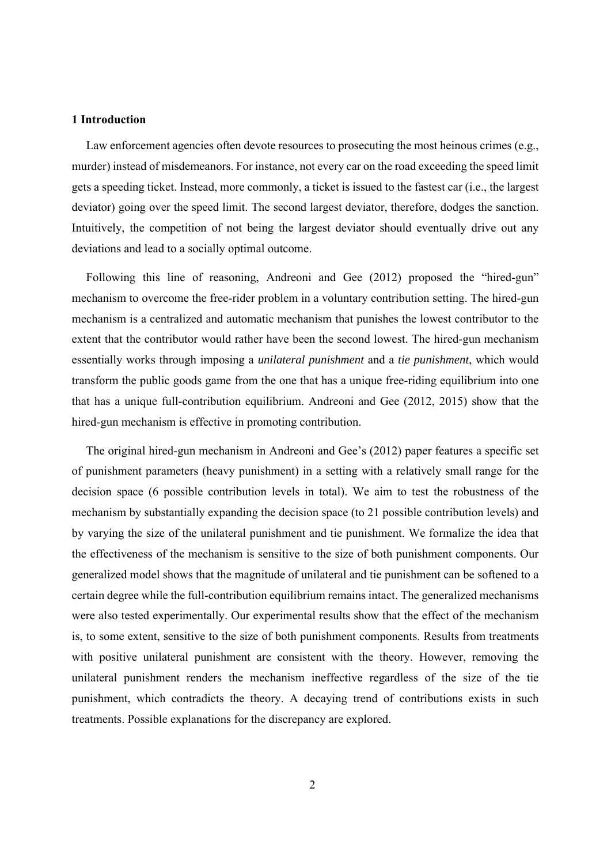## **1 Introduction**

Law enforcement agencies often devote resources to prosecuting the most heinous crimes (e.g., murder) instead of misdemeanors. For instance, not every car on the road exceeding the speed limit gets a speeding ticket. Instead, more commonly, a ticket is issued to the fastest car (i.e., the largest deviator) going over the speed limit. The second largest deviator, therefore, dodges the sanction. Intuitively, the competition of not being the largest deviator should eventually drive out any deviations and lead to a socially optimal outcome.

Following this line of reasoning, Andreoni and Gee (2012) proposed the "hired-gun" mechanism to overcome the free-rider problem in a voluntary contribution setting. The hired-gun mechanism is a centralized and automatic mechanism that punishes the lowest contributor to the extent that the contributor would rather have been the second lowest. The hired-gun mechanism essentially works through imposing a *unilateral punishment* and a *tie punishment*, which would transform the public goods game from the one that has a unique free-riding equilibrium into one that has a unique full-contribution equilibrium. Andreoni and Gee (2012, 2015) show that the hired-gun mechanism is effective in promoting contribution.

The original hired-gun mechanism in Andreoni and Gee's (2012) paper features a specific set of punishment parameters (heavy punishment) in a setting with a relatively small range for the decision space (6 possible contribution levels in total). We aim to test the robustness of the mechanism by substantially expanding the decision space (to 21 possible contribution levels) and by varying the size of the unilateral punishment and tie punishment. We formalize the idea that the effectiveness of the mechanism is sensitive to the size of both punishment components. Our generalized model shows that the magnitude of unilateral and tie punishment can be softened to a certain degree while the full-contribution equilibrium remains intact. The generalized mechanisms were also tested experimentally. Our experimental results show that the effect of the mechanism is, to some extent, sensitive to the size of both punishment components. Results from treatments with positive unilateral punishment are consistent with the theory. However, removing the unilateral punishment renders the mechanism ineffective regardless of the size of the tie punishment, which contradicts the theory. A decaying trend of contributions exists in such treatments. Possible explanations for the discrepancy are explored.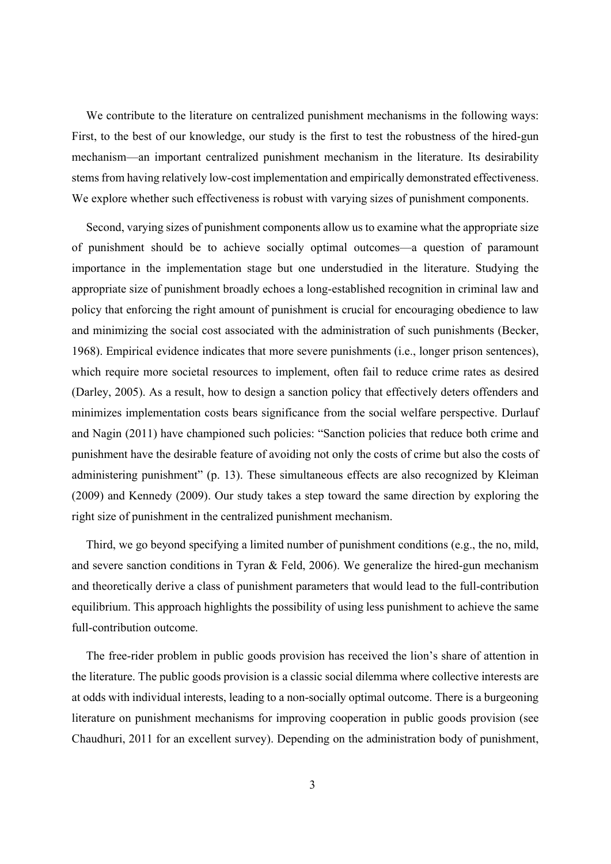We contribute to the literature on centralized punishment mechanisms in the following ways: First, to the best of our knowledge, our study is the first to test the robustness of the hired-gun mechanism—an important centralized punishment mechanism in the literature. Its desirability stems from having relatively low-cost implementation and empirically demonstrated effectiveness. We explore whether such effectiveness is robust with varying sizes of punishment components.

Second, varying sizes of punishment components allow us to examine what the appropriate size of punishment should be to achieve socially optimal outcomes—a question of paramount importance in the implementation stage but one understudied in the literature. Studying the appropriate size of punishment broadly echoes a long-established recognition in criminal law and policy that enforcing the right amount of punishment is crucial for encouraging obedience to law and minimizing the social cost associated with the administration of such punishments (Becker, 1968). Empirical evidence indicates that more severe punishments (i.e., longer prison sentences), which require more societal resources to implement, often fail to reduce crime rates as desired (Darley, 2005). As a result, how to design a sanction policy that effectively deters offenders and minimizes implementation costs bears significance from the social welfare perspective. Durlauf and Nagin (2011) have championed such policies: "Sanction policies that reduce both crime and punishment have the desirable feature of avoiding not only the costs of crime but also the costs of administering punishment" (p. 13). These simultaneous effects are also recognized by Kleiman (2009) and Kennedy (2009). Our study takes a step toward the same direction by exploring the right size of punishment in the centralized punishment mechanism.

Third, we go beyond specifying a limited number of punishment conditions (e.g., the no, mild, and severe sanction conditions in Tyran & Feld, 2006). We generalize the hired-gun mechanism and theoretically derive a class of punishment parameters that would lead to the full-contribution equilibrium. This approach highlights the possibility of using less punishment to achieve the same full-contribution outcome.

The free-rider problem in public goods provision has received the lion's share of attention in the literature. The public goods provision is a classic social dilemma where collective interests are at odds with individual interests, leading to a non-socially optimal outcome. There is a burgeoning literature on punishment mechanisms for improving cooperation in public goods provision (see Chaudhuri, 2011 for an excellent survey). Depending on the administration body of punishment,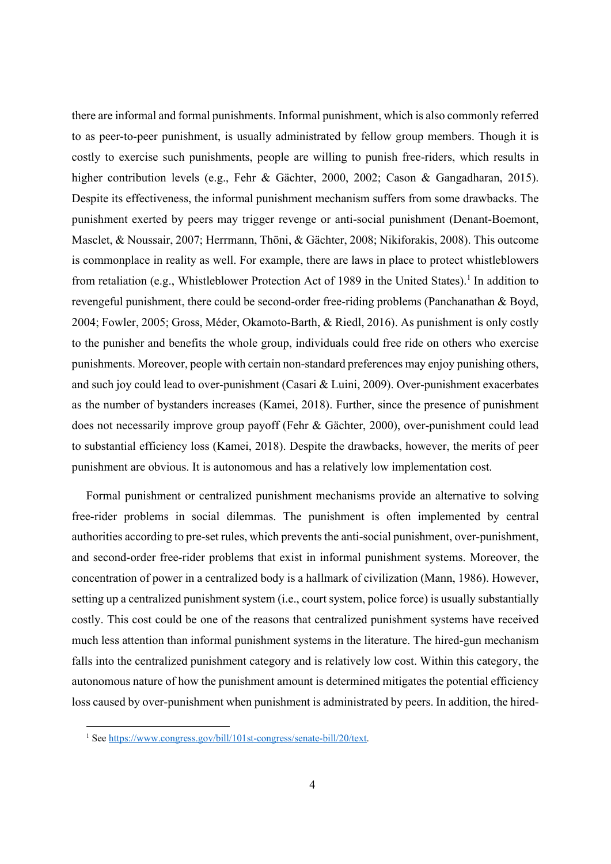there are informal and formal punishments. Informal punishment, which is also commonly referred to as peer-to-peer punishment, is usually administrated by fellow group members. Though it is costly to exercise such punishments, people are willing to punish free-riders, which results in higher contribution levels (e.g., Fehr & Gächter, 2000, 2002; Cason & Gangadharan, 2015). Despite its effectiveness, the informal punishment mechanism suffers from some drawbacks. The punishment exerted by peers may trigger revenge or anti-social punishment (Denant-Boemont, Masclet, & Noussair, 2007; Herrmann, Thöni, & Gächter, 2008; Nikiforakis, 2008). This outcome is commonplace in reality as well. For example, there are laws in place to protect whistleblowers from retaliation (e.g., Whistleblower Protection Act of 1989 in the United States).<sup>1</sup> In addition to revengeful punishment, there could be second-order free-riding problems (Panchanathan & Boyd, 2004; Fowler, 2005; Gross, Méder, Okamoto-Barth, & Riedl, 2016). As punishment is only costly to the punisher and benefits the whole group, individuals could free ride on others who exercise punishments. Moreover, people with certain non-standard preferences may enjoy punishing others, and such joy could lead to over-punishment (Casari & Luini, 2009). Over-punishment exacerbates as the number of bystanders increases (Kamei, 2018). Further, since the presence of punishment does not necessarily improve group payoff (Fehr & Gächter, 2000), over-punishment could lead to substantial efficiency loss (Kamei, 2018). Despite the drawbacks, however, the merits of peer punishment are obvious. It is autonomous and has a relatively low implementation cost.

Formal punishment or centralized punishment mechanisms provide an alternative to solving free-rider problems in social dilemmas. The punishment is often implemented by central authorities according to pre-set rules, which prevents the anti-social punishment, over-punishment, and second-order free-rider problems that exist in informal punishment systems. Moreover, the concentration of power in a centralized body is a hallmark of civilization (Mann, 1986). However, setting up a centralized punishment system (i.e., court system, police force) is usually substantially costly. This cost could be one of the reasons that centralized punishment systems have received much less attention than informal punishment systems in the literature. The hired-gun mechanism falls into the centralized punishment category and is relatively low cost. Within this category, the autonomous nature of how the punishment amount is determined mitigates the potential efficiency loss caused by over-punishment when punishment is administrated by peers. In addition, the hired-

<sup>&</sup>lt;sup>1</sup> See https://www.congress.gov/bill/101st-congress/senate-bill/20/text.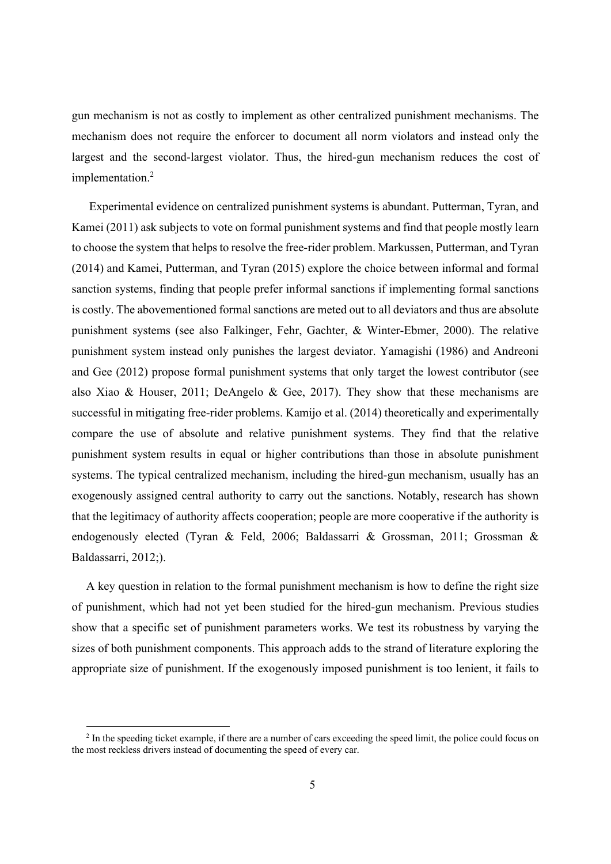gun mechanism is not as costly to implement as other centralized punishment mechanisms. The mechanism does not require the enforcer to document all norm violators and instead only the largest and the second-largest violator. Thus, the hired-gun mechanism reduces the cost of implementation.<sup>2</sup>

 Experimental evidence on centralized punishment systems is abundant. Putterman, Tyran, and Kamei (2011) ask subjects to vote on formal punishment systems and find that people mostly learn to choose the system that helps to resolve the free-rider problem. Markussen, Putterman, and Tyran (2014) and Kamei, Putterman, and Tyran (2015) explore the choice between informal and formal sanction systems, finding that people prefer informal sanctions if implementing formal sanctions is costly. The abovementioned formal sanctions are meted out to all deviators and thus are absolute punishment systems (see also Falkinger, Fehr, Gachter, & Winter-Ebmer, 2000). The relative punishment system instead only punishes the largest deviator. Yamagishi (1986) and Andreoni and Gee (2012) propose formal punishment systems that only target the lowest contributor (see also Xiao & Houser, 2011; DeAngelo & Gee, 2017). They show that these mechanisms are successful in mitigating free-rider problems. Kamijo et al. (2014) theoretically and experimentally compare the use of absolute and relative punishment systems. They find that the relative punishment system results in equal or higher contributions than those in absolute punishment systems. The typical centralized mechanism, including the hired-gun mechanism, usually has an exogenously assigned central authority to carry out the sanctions. Notably, research has shown that the legitimacy of authority affects cooperation; people are more cooperative if the authority is endogenously elected (Tyran & Feld, 2006; Baldassarri & Grossman, 2011; Grossman & Baldassarri, 2012;).

A key question in relation to the formal punishment mechanism is how to define the right size of punishment, which had not yet been studied for the hired-gun mechanism. Previous studies show that a specific set of punishment parameters works. We test its robustness by varying the sizes of both punishment components. This approach adds to the strand of literature exploring the appropriate size of punishment. If the exogenously imposed punishment is too lenient, it fails to

<sup>&</sup>lt;sup>2</sup> In the speeding ticket example, if there are a number of cars exceeding the speed limit, the police could focus on the most reckless drivers instead of documenting the speed of every car.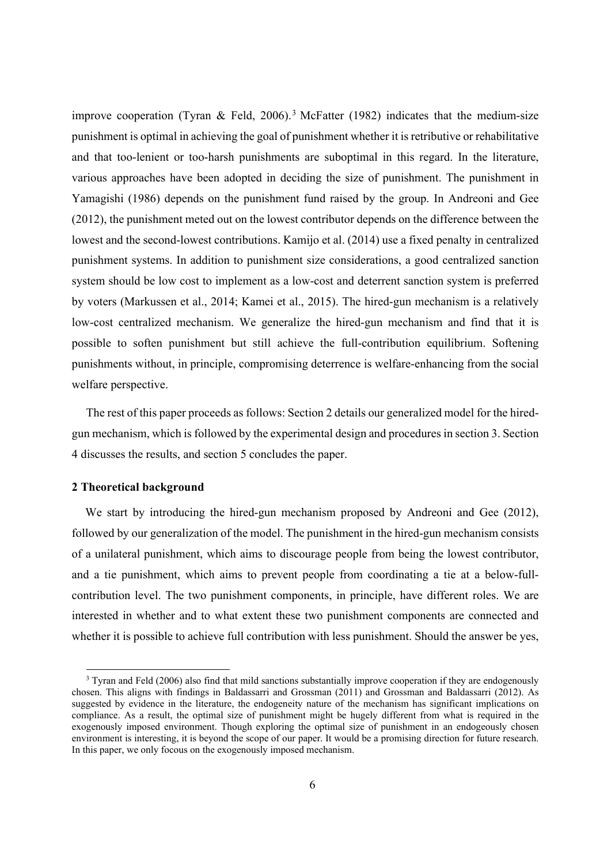improve cooperation (Tyran & Feld, 2006).<sup>3</sup> McFatter (1982) indicates that the medium-size punishment is optimal in achieving the goal of punishment whether it is retributive or rehabilitative and that too-lenient or too-harsh punishments are suboptimal in this regard. In the literature, various approaches have been adopted in deciding the size of punishment. The punishment in Yamagishi (1986) depends on the punishment fund raised by the group. In Andreoni and Gee (2012), the punishment meted out on the lowest contributor depends on the difference between the lowest and the second-lowest contributions. Kamijo et al. (2014) use a fixed penalty in centralized punishment systems. In addition to punishment size considerations, a good centralized sanction system should be low cost to implement as a low-cost and deterrent sanction system is preferred by voters (Markussen et al., 2014; Kamei et al., 2015). The hired-gun mechanism is a relatively low-cost centralized mechanism. We generalize the hired-gun mechanism and find that it is possible to soften punishment but still achieve the full-contribution equilibrium. Softening punishments without, in principle, compromising deterrence is welfare-enhancing from the social welfare perspective.

The rest of this paper proceeds as follows: Section 2 details our generalized model for the hiredgun mechanism, which is followed by the experimental design and procedures in section 3. Section 4 discusses the results, and section 5 concludes the paper.

#### **2 Theoretical background**

We start by introducing the hired-gun mechanism proposed by Andreoni and Gee (2012), followed by our generalization of the model. The punishment in the hired-gun mechanism consists of a unilateral punishment, which aims to discourage people from being the lowest contributor, and a tie punishment, which aims to prevent people from coordinating a tie at a below-fullcontribution level. The two punishment components, in principle, have different roles. We are interested in whether and to what extent these two punishment components are connected and whether it is possible to achieve full contribution with less punishment. Should the answer be yes,

<sup>&</sup>lt;sup>3</sup> Tyran and Feld (2006) also find that mild sanctions substantially improve cooperation if they are endogenously chosen. This aligns with findings in Baldassarri and Grossman (2011) and Grossman and Baldassarri (2012). As suggested by evidence in the literature, the endogeneity nature of the mechanism has significant implications on compliance. As a result, the optimal size of punishment might be hugely different from what is required in the exogenously imposed environment. Though exploring the optimal size of punishment in an endogeously chosen environment is interesting, it is beyond the scope of our paper. It would be a promising direction for future research. In this paper, we only focous on the exogenously imposed mechanism.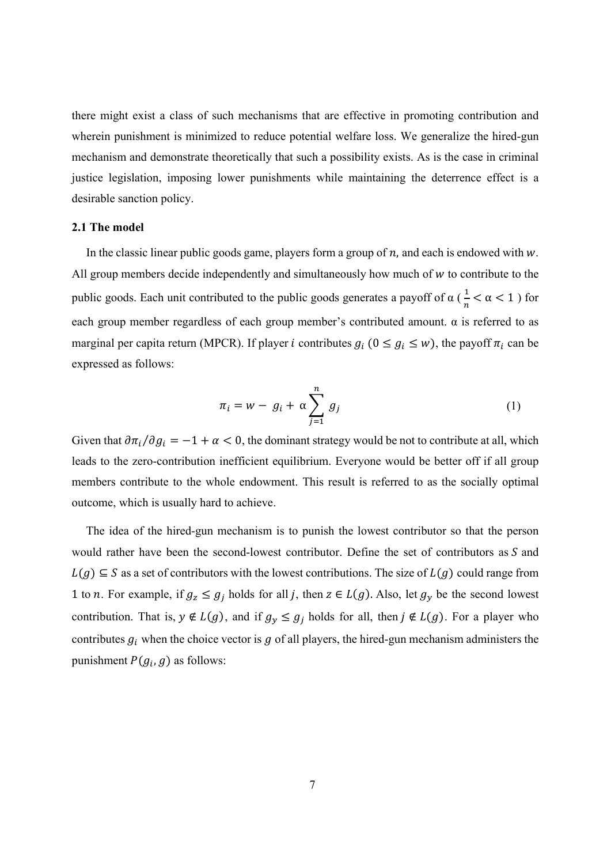there might exist a class of such mechanisms that are effective in promoting contribution and wherein punishment is minimized to reduce potential welfare loss. We generalize the hired-gun mechanism and demonstrate theoretically that such a possibility exists. As is the case in criminal justice legislation, imposing lower punishments while maintaining the deterrence effect is a desirable sanction policy.

#### **2.1 The model**

In the classic linear public goods game, players form a group of  $n$ , and each is endowed with  $w$ . All group members decide independently and simultaneously how much of  $w$  to contribute to the public goods. Each unit contributed to the public goods generates a payoff of  $\alpha$  ( $\frac{1}{n} < \alpha < 1$ ) for each group member regardless of each group member's contributed amount.  $\alpha$  is referred to as marginal per capita return (MPCR). If player *i* contributes  $g_i$  ( $0 \le g_i \le w$ ), the payoff  $\pi_i$  can be expressed as follows:

$$
\pi_i = w - g_i + \alpha \sum_{j=1}^n g_j \tag{1}
$$

Given that  $\partial \pi_i / \partial g_i = -1 + \alpha < 0$ , the dominant strategy would be not to contribute at all, which leads to the zero-contribution inefficient equilibrium. Everyone would be better off if all group members contribute to the whole endowment. This result is referred to as the socially optimal outcome, which is usually hard to achieve.

The idea of the hired-gun mechanism is to punish the lowest contributor so that the person would rather have been the second-lowest contributor. Define the set of contributors as  $S$  and  $L(g) \subseteq S$  as a set of contributors with the lowest contributions. The size of  $L(g)$  could range from 1 to *n*. For example, if  $g_z \le g_j$  holds for all *j*, then  $z \in L(g)$ . Also, let  $g_y$  be the second lowest contribution. That is,  $y \notin L(g)$ , and if  $g_y \leq g_j$  holds for all, then  $j \notin L(g)$ . For a player who contributes  $g_i$  when the choice vector is  $g$  of all players, the hired-gun mechanism administers the punishment  $P(g_i, g)$  as follows: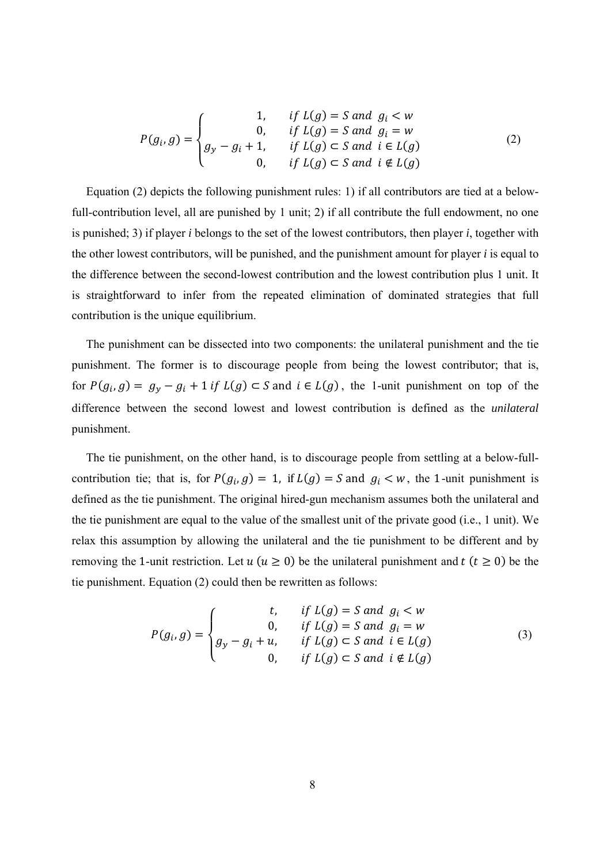$$
P(g_i, g) = \begin{cases} 1, & if L(g) = S \text{ and } g_i < w \\ 0, & if L(g) = S \text{ and } g_i = w \\ g_y - g_i + 1, & if L(g) \subset S \text{ and } i \in L(g) \\ 0, & if L(g) \subset S \text{ and } i \notin L(g) \end{cases}
$$
(2)

Equation (2) depicts the following punishment rules: 1) if all contributors are tied at a belowfull-contribution level, all are punished by 1 unit; 2) if all contribute the full endowment, no one is punished; 3) if player *i* belongs to the set of the lowest contributors, then player *i*, together with the other lowest contributors, will be punished, and the punishment amount for player *i* is equal to the difference between the second-lowest contribution and the lowest contribution plus 1 unit. It is straightforward to infer from the repeated elimination of dominated strategies that full contribution is the unique equilibrium.

The punishment can be dissected into two components: the unilateral punishment and the tie punishment. The former is to discourage people from being the lowest contributor; that is, for  $P(g_i, g) = g_y - g_i + 1$  if  $L(g) \subset S$  and  $i \in L(g)$ , the 1-unit punishment on top of the difference between the second lowest and lowest contribution is defined as the *unilateral* punishment.

The tie punishment, on the other hand, is to discourage people from settling at a below-fullcontribution tie; that is, for  $P(g_i, g) = 1$ , if  $L(g) = S$  and  $g_i < w$ , the 1-unit punishment is defined as the tie punishment. The original hired-gun mechanism assumes both the unilateral and the tie punishment are equal to the value of the smallest unit of the private good (i.e., 1 unit). We relax this assumption by allowing the unilateral and the tie punishment to be different and by removing the 1-unit restriction. Let  $u(u \ge 0)$  be the unilateral punishment and  $t(t \ge 0)$  be the tie punishment. Equation (2) could then be rewritten as follows:

$$
P(g_i, g) = \begin{cases} & \text{if } L(g) = S \text{ and } g_i < w \\ & 0, \quad \text{if } L(g) = S \text{ and } g_i = w \\ g_y - g_i + u, \quad \text{if } L(g) \subset S \text{ and } i \in L(g) \\ & 0, \quad \text{if } L(g) \subset S \text{ and } i \notin L(g) \end{cases} \tag{3}
$$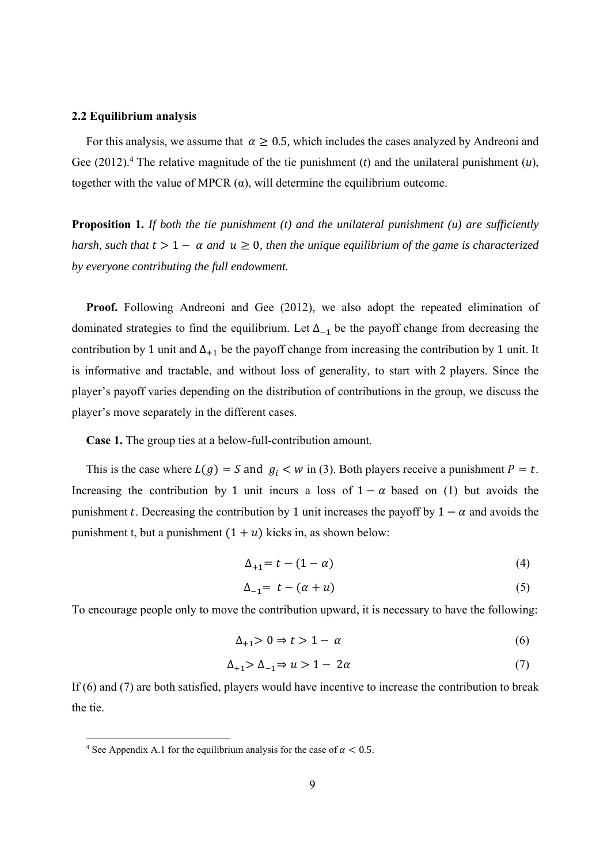#### **2.2 Equilibrium analysis**

For this analysis, we assume that  $\alpha \geq 0.5$ , which includes the cases analyzed by Andreoni and Gee  $(2012)$ .<sup>4</sup> The relative magnitude of the tie punishment (*t*) and the unilateral punishment (*u*), together with the value of MPCR (α), will determine the equilibrium outcome.

**Proposition 1.** *If both the tie punishment (t) and the unilateral punishment (u) are sufficiently harsh, such that*  $t > 1 - \alpha$  *and*  $u \ge 0$ *, then the unique equilibrium of the game is characterized by everyone contributing the full endowment.*

**Proof.** Following Andreoni and Gee (2012), we also adopt the repeated elimination of dominated strategies to find the equilibrium. Let  $\Delta_{-1}$  be the payoff change from decreasing the contribution by 1 unit and  $\Delta_{+1}$  be the payoff change from increasing the contribution by 1 unit. It is informative and tractable, and without loss of generality, to start with 2 players. Since the player's payoff varies depending on the distribution of contributions in the group, we discuss the player's move separately in the different cases.

**Case 1.** The group ties at a below-full-contribution amount.

This is the case where  $L(g) = S$  and  $g_i < w$  in (3). Both players receive a punishment  $P = t$ . Increasing the contribution by 1 unit incurs a loss of  $1-\alpha$  based on (1) but avoids the punishment t. Decreasing the contribution by 1 unit increases the payoff by  $1 - \alpha$  and avoids the punishment t, but a punishment  $(1 + u)$  kicks in, as shown below:

$$
\Delta_{+1} = t - (1 - \alpha) \tag{4}
$$

$$
\Delta_{-1} = t - (\alpha + u) \tag{5}
$$

To encourage people only to move the contribution upward, it is necessary to have the following:

$$
\Delta_{+1} > 0 \Rightarrow t > 1 - \alpha \tag{6}
$$

$$
\Delta_{+1} > \Delta_{-1} \Rightarrow u > 1 - 2\alpha \tag{7}
$$

If (6) and (7) are both satisfied, players would have incentive to increase the contribution to break the tie.

<sup>&</sup>lt;sup>4</sup> See Appendix A.1 for the equilibrium analysis for the case of  $\alpha$  < 0.5.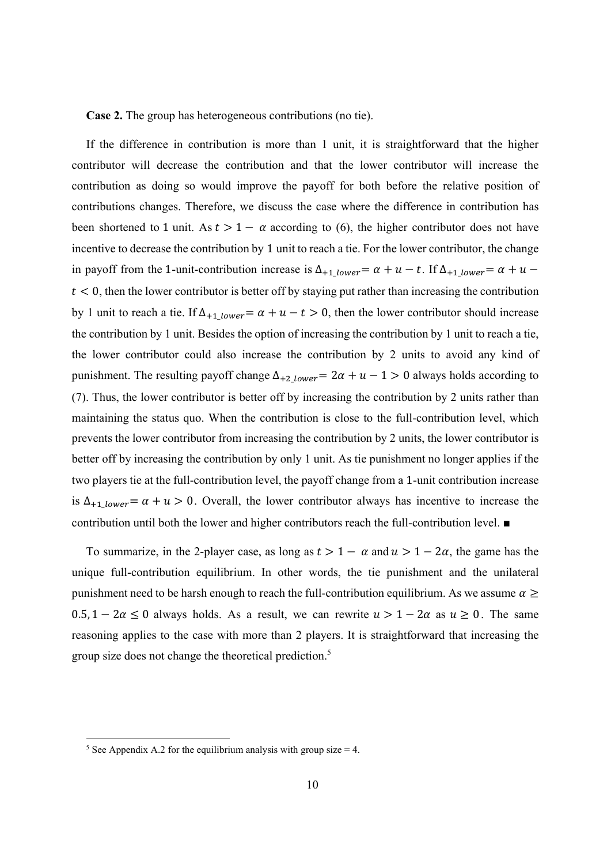**Case 2.** The group has heterogeneous contributions (no tie).

If the difference in contribution is more than 1 unit, it is straightforward that the higher contributor will decrease the contribution and that the lower contributor will increase the contribution as doing so would improve the payoff for both before the relative position of contributions changes. Therefore, we discuss the case where the difference in contribution has been shortened to 1 unit. As  $t > 1 - \alpha$  according to (6), the higher contributor does not have incentive to decrease the contribution by 1 unit to reach a tie. For the lower contributor, the change in payoff from the 1-unit-contribution increase is  $\Delta_{+1\_lower} = \alpha + u - t$ . If  $\Delta_{+1\_lower} = \alpha + u - t$  $t < 0$ , then the lower contributor is better off by staying put rather than increasing the contribution by 1 unit to reach a tie. If  $\Delta_{+1\ lower} = \alpha + u - t > 0$ , then the lower contributor should increase the contribution by 1 unit. Besides the option of increasing the contribution by 1 unit to reach a tie, the lower contributor could also increase the contribution by 2 units to avoid any kind of punishment. The resulting payoff change  $\Delta_{+2\ lower} = 2\alpha + u - 1 > 0$  always holds according to (7). Thus, the lower contributor is better off by increasing the contribution by 2 units rather than maintaining the status quo. When the contribution is close to the full-contribution level, which prevents the lower contributor from increasing the contribution by 2 units, the lower contributor is better off by increasing the contribution by only 1 unit. As tie punishment no longer applies if the two players tie at the full-contribution level, the payoff change from a 1-unit contribution increase is  $\Delta_{+1\ lower} = \alpha + u > 0$ . Overall, the lower contributor always has incentive to increase the contribution until both the lower and higher contributors reach the full-contribution level. ■

To summarize, in the 2-player case, as long as  $t > 1 - \alpha$  and  $u > 1 - 2\alpha$ , the game has the unique full-contribution equilibrium. In other words, the tie punishment and the unilateral punishment need to be harsh enough to reach the full-contribution equilibrium. As we assume  $\alpha \geq$  $0.5$ ,  $1 - 2\alpha \le 0$  always holds. As a result, we can rewrite  $u > 1 - 2\alpha$  as  $u \ge 0$ . The same reasoning applies to the case with more than 2 players. It is straightforward that increasing the group size does not change the theoretical prediction.<sup>5</sup>

<sup>&</sup>lt;sup>5</sup> See Appendix A.2 for the equilibrium analysis with group size  $=$  4.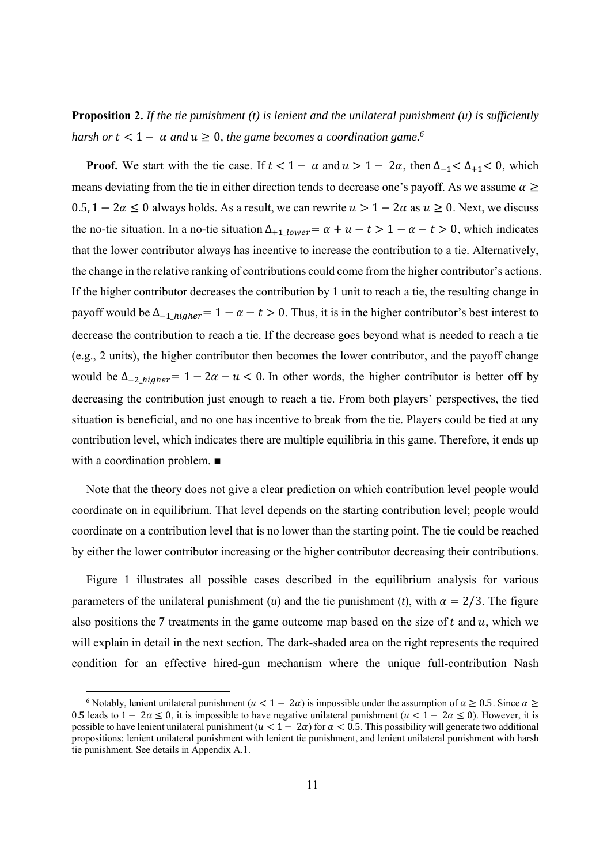**Proposition 2.** *If the tie punishment (t) is lenient and the unilateral punishment (u) is sufficiently harsh or*  $t < 1 - \alpha$  *and*  $u \ge 0$ *, the game becomes a coordination game.*<sup>6</sup>

**Proof.** We start with the tie case. If  $t < 1 - \alpha$  and  $u > 1 - 2\alpha$ , then  $\Delta_{-1} < \Delta_{+1} < 0$ , which means deviating from the tie in either direction tends to decrease one's payoff. As we assume  $\alpha \geq$  $0.5$ ,  $1 - 2\alpha \le 0$  always holds. As a result, we can rewrite  $u > 1 - 2\alpha$  as  $u \ge 0$ . Next, we discuss the no-tie situation. In a no-tie situation  $\Delta_{+1\ lower} = \alpha + u - t > 1 - \alpha - t > 0$ , which indicates that the lower contributor always has incentive to increase the contribution to a tie. Alternatively, the change in the relative ranking of contributions could come from the higher contributor's actions. If the higher contributor decreases the contribution by 1 unit to reach a tie, the resulting change in payoff would be  $\Delta_{-1 \rightarrow higher} = 1 - \alpha - t > 0$ . Thus, it is in the higher contributor's best interest to decrease the contribution to reach a tie. If the decrease goes beyond what is needed to reach a tie (e.g., 2 units), the higher contributor then becomes the lower contributor, and the payoff change would be  $\Delta_{-2 \text{ higher}} = 1 - 2\alpha - \alpha < 0$ . In other words, the higher contributor is better off by decreasing the contribution just enough to reach a tie. From both players' perspectives, the tied situation is beneficial, and no one has incentive to break from the tie. Players could be tied at any contribution level, which indicates there are multiple equilibria in this game. Therefore, it ends up with a coordination problem. ■

Note that the theory does not give a clear prediction on which contribution level people would coordinate on in equilibrium. That level depends on the starting contribution level; people would coordinate on a contribution level that is no lower than the starting point. The tie could be reached by either the lower contributor increasing or the higher contributor decreasing their contributions.

Figure 1 illustrates all possible cases described in the equilibrium analysis for various parameters of the unilateral punishment (*u*) and the tie punishment (*t*), with  $\alpha = 2/3$ . The figure also positions the 7 treatments in the game outcome map based on the size of  $t$  and  $u$ , which we will explain in detail in the next section. The dark-shaded area on the right represents the required condition for an effective hired-gun mechanism where the unique full-contribution Nash

<sup>&</sup>lt;sup>6</sup> Notably, lenient unilateral punishment ( $u < 1 - 2\alpha$ ) is impossible under the assumption of  $\alpha \ge 0.5$ . Since  $\alpha \ge$ 0.5 leads to  $1 - 2\alpha \le 0$ , it is impossible to have negative unilateral punishment  $(u < 1 - 2\alpha \le 0)$ . However, it is possible to have lenient unilateral punishment ( $u < 1 - 2\alpha$ ) for  $\alpha < 0.5$ . This possibility will generate two additional propositions: lenient unilateral punishment with lenient tie punishment, and lenient unilateral punishment with harsh tie punishment. See details in Appendix A.1.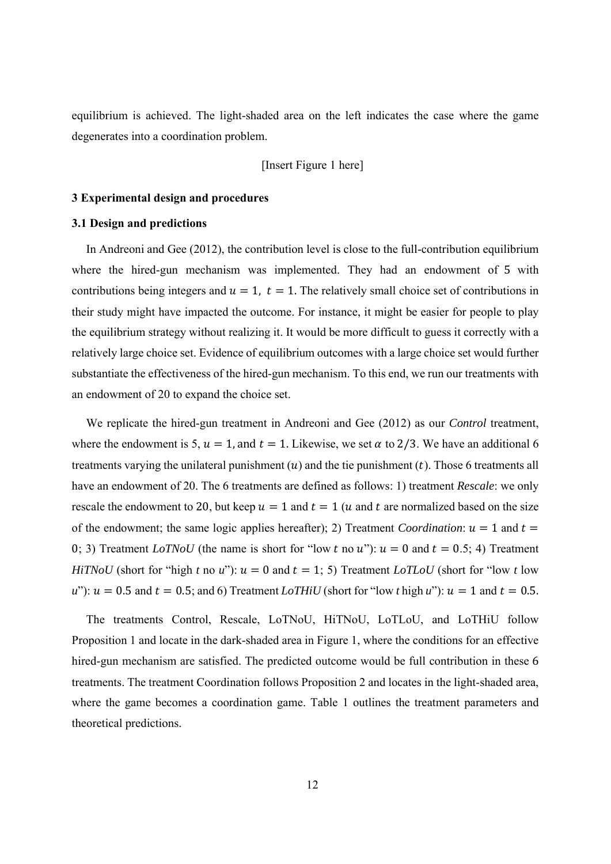equilibrium is achieved. The light-shaded area on the left indicates the case where the game degenerates into a coordination problem.

[Insert Figure 1 here]

#### **3 Experimental design and procedures**

## **3.1 Design and predictions**

In Andreoni and Gee (2012), the contribution level is close to the full-contribution equilibrium where the hired-gun mechanism was implemented. They had an endowment of 5 with contributions being integers and  $u = 1$ ,  $t = 1$ . The relatively small choice set of contributions in their study might have impacted the outcome. For instance, it might be easier for people to play the equilibrium strategy without realizing it. It would be more difficult to guess it correctly with a relatively large choice set. Evidence of equilibrium outcomes with a large choice set would further substantiate the effectiveness of the hired-gun mechanism. To this end, we run our treatments with an endowment of 20 to expand the choice set.

We replicate the hired-gun treatment in Andreoni and Gee (2012) as our *Control* treatment, where the endowment is 5,  $u = 1$ , and  $t = 1$ . Likewise, we set  $\alpha$  to 2/3. We have an additional 6 treatments varying the unilateral punishment  $(u)$  and the tie punishment  $(t)$ . Those 6 treatments all have an endowment of 20. The 6 treatments are defined as follows: 1) treatment *Rescale*: we only rescale the endowment to 20, but keep  $u = 1$  and  $t = 1$  (*u* and *t* are normalized based on the size of the endowment; the same logic applies hereafter); 2) Treatment *Coordination*:  $u = 1$  and  $t =$ 0; 3) Treatment *LoTNoU* (the name is short for "low t no u"):  $u = 0$  and  $t = 0.5$ ; 4) Treatment *HiTNoU* (short for "high *t* no *u*"):  $u = 0$  and  $t = 1$ ; 5) Treatment *LoTLoU* (short for "low *t* low  $u$ "):  $u = 0.5$  and  $t = 0.5$ ; and 6) Treatment *LoTHiU* (short for "low *t* high  $u$ "):  $u = 1$  and  $t = 0.5$ .

The treatments Control, Rescale, LoTNoU, HiTNoU, LoTLoU, and LoTHiU follow Proposition 1 and locate in the dark-shaded area in Figure 1, where the conditions for an effective hired-gun mechanism are satisfied. The predicted outcome would be full contribution in these 6 treatments. The treatment Coordination follows Proposition 2 and locates in the light-shaded area, where the game becomes a coordination game. Table 1 outlines the treatment parameters and theoretical predictions.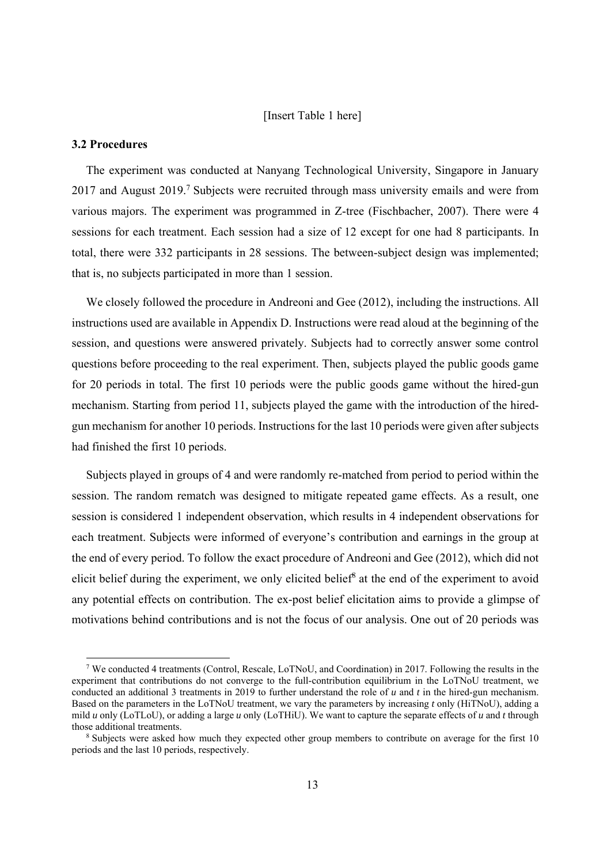## [Insert Table 1 here]

## **3.2 Procedures**

The experiment was conducted at Nanyang Technological University, Singapore in January 2017 and August 2019.<sup>7</sup> Subjects were recruited through mass university emails and were from various majors. The experiment was programmed in Z-tree (Fischbacher, 2007). There were 4 sessions for each treatment. Each session had a size of 12 except for one had 8 participants. In total, there were 332 participants in 28 sessions. The between-subject design was implemented; that is, no subjects participated in more than 1 session.

We closely followed the procedure in Andreoni and Gee (2012), including the instructions. All instructions used are available in Appendix D. Instructions were read aloud at the beginning of the session, and questions were answered privately. Subjects had to correctly answer some control questions before proceeding to the real experiment. Then, subjects played the public goods game for 20 periods in total. The first 10 periods were the public goods game without the hired-gun mechanism. Starting from period 11, subjects played the game with the introduction of the hiredgun mechanism for another 10 periods. Instructions for the last 10 periods were given after subjects had finished the first 10 periods.

Subjects played in groups of 4 and were randomly re-matched from period to period within the session. The random rematch was designed to mitigate repeated game effects. As a result, one session is considered 1 independent observation, which results in 4 independent observations for each treatment. Subjects were informed of everyone's contribution and earnings in the group at the end of every period. To follow the exact procedure of Andreoni and Gee (2012), which did not elicit belief during the experiment, we only elicited belief<sup>8</sup> at the end of the experiment to avoid any potential effects on contribution. The ex-post belief elicitation aims to provide a glimpse of motivations behind contributions and is not the focus of our analysis. One out of 20 periods was

<sup>7</sup> We conducted 4 treatments (Control, Rescale, LoTNoU, and Coordination) in 2017. Following the results in the experiment that contributions do not converge to the full-contribution equilibrium in the LoTNoU treatment, we conducted an additional 3 treatments in 2019 to further understand the role of *u* and *t* in the hired-gun mechanism. Based on the parameters in the LoTNoU treatment, we vary the parameters by increasing *t* only (HiTNoU), adding a mild *u* only (LoTLoU), or adding a large *u* only (LoTHiU). We want to capture the separate effects of *u* and *t* through those additional treatments.

<sup>&</sup>lt;sup>8</sup> Subjects were asked how much they expected other group members to contribute on average for the first 10 periods and the last 10 periods, respectively.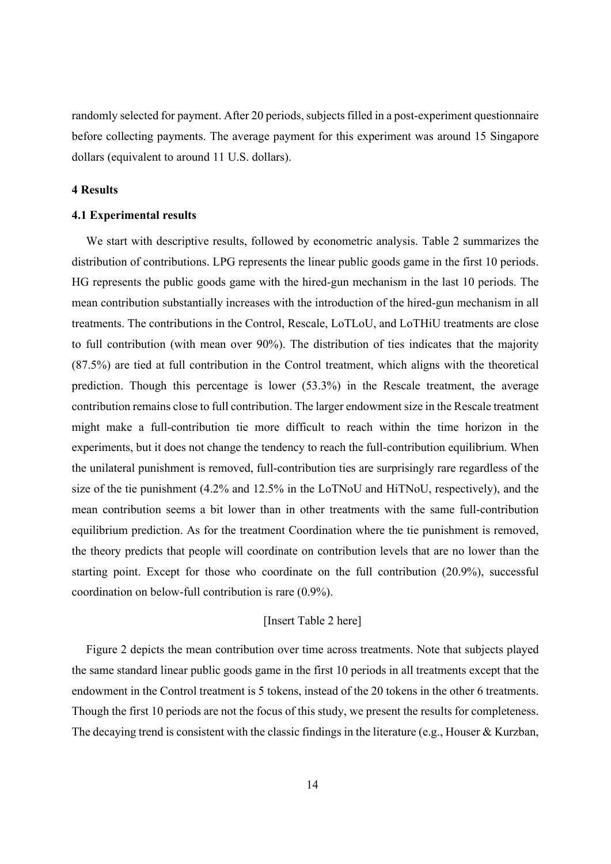randomly selected for payment. After 20 periods, subjects filled in a post-experiment questionnaire before collecting payments. The average payment for this experiment was around 15 Singapore dollars (equivalent to around 11 U.S. dollars).

#### **4 Results**

### **4.1 Experimental results**

We start with descriptive results, followed by econometric analysis. Table 2 summarizes the distribution of contributions. LPG represents the linear public goods game in the first 10 periods. HG represents the public goods game with the hired-gun mechanism in the last 10 periods. The mean contribution substantially increases with the introduction of the hired-gun mechanism in all treatments. The contributions in the Control, Rescale, LoTLoU, and LoTHiU treatments are close to full contribution (with mean over 90%). The distribution of ties indicates that the majority (87.5%) are tied at full contribution in the Control treatment, which aligns with the theoretical prediction. Though this percentage is lower (53.3%) in the Rescale treatment, the average contribution remains close to full contribution. The larger endowment size in the Rescale treatment might make a full-contribution tie more difficult to reach within the time horizon in the experiments, but it does not change the tendency to reach the full-contribution equilibrium. When the unilateral punishment is removed, full-contribution ties are surprisingly rare regardless of the size of the tie punishment (4.2% and 12.5% in the LoTNoU and HiTNoU, respectively), and the mean contribution seems a bit lower than in other treatments with the same full-contribution equilibrium prediction. As for the treatment Coordination where the tie punishment is removed, the theory predicts that people will coordinate on contribution levels that are no lower than the starting point. Except for those who coordinate on the full contribution (20.9%), successful coordination on below-full contribution is rare (0.9%).

## [Insert Table 2 here]

Figure 2 depicts the mean contribution over time across treatments. Note that subjects played the same standard linear public goods game in the first 10 periods in all treatments except that the endowment in the Control treatment is 5 tokens, instead of the 20 tokens in the other 6 treatments. Though the first 10 periods are not the focus of this study, we present the results for completeness. The decaying trend is consistent with the classic findings in the literature (e.g., Houser & Kurzban,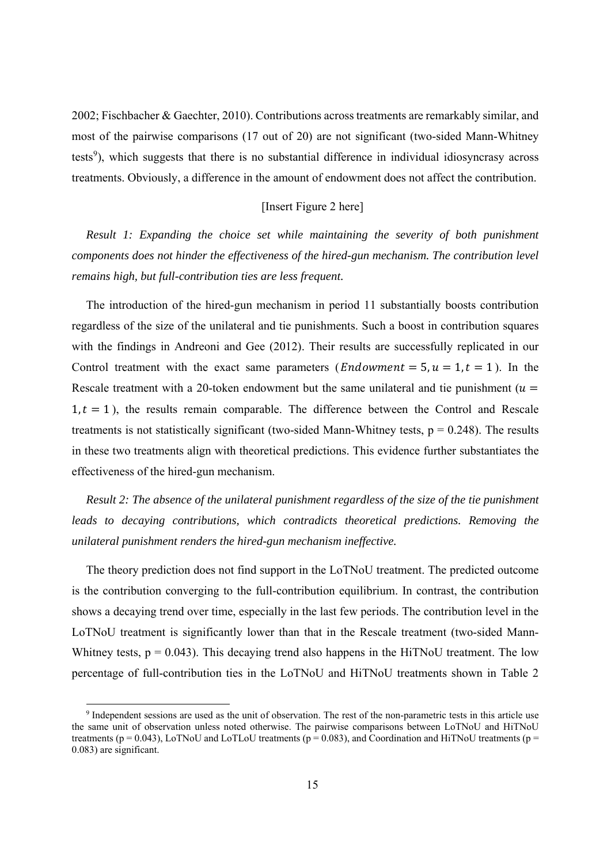2002; Fischbacher & Gaechter, 2010). Contributions across treatments are remarkably similar, and most of the pairwise comparisons (17 out of 20) are not significant (two-sided Mann-Whitney tests<sup>9</sup>), which suggests that there is no substantial difference in individual idiosyncrasy across treatments. Obviously, a difference in the amount of endowment does not affect the contribution.

## [Insert Figure 2 here]

*Result 1: Expanding the choice set while maintaining the severity of both punishment components does not hinder the effectiveness of the hired-gun mechanism. The contribution level remains high, but full-contribution ties are less frequent.* 

The introduction of the hired-gun mechanism in period 11 substantially boosts contribution regardless of the size of the unilateral and tie punishments. Such a boost in contribution squares with the findings in Andreoni and Gee (2012). Their results are successfully replicated in our Control treatment with the exact same parameters (*Endowment* =  $5, u = 1, t = 1$ ). In the Rescale treatment with a 20-token endowment but the same unilateral and tie punishment ( $u =$  $1, t = 1$ ), the results remain comparable. The difference between the Control and Rescale treatments is not statistically significant (two-sided Mann-Whitney tests,  $p = 0.248$ ). The results in these two treatments align with theoretical predictions. This evidence further substantiates the effectiveness of the hired-gun mechanism.

*Result 2: The absence of the unilateral punishment regardless of the size of the tie punishment*  leads to decaying contributions, which contradicts theoretical predictions. Removing the *unilateral punishment renders the hired-gun mechanism ineffective.* 

The theory prediction does not find support in the LoTNoU treatment. The predicted outcome is the contribution converging to the full-contribution equilibrium. In contrast, the contribution shows a decaying trend over time, especially in the last few periods. The contribution level in the LoTNoU treatment is significantly lower than that in the Rescale treatment (two-sided Mann-Whitney tests,  $p = 0.043$ ). This decaying trend also happens in the HiTNoU treatment. The low percentage of full-contribution ties in the LoTNoU and HiTNoU treatments shown in Table 2

<sup>9</sup> Independent sessions are used as the unit of observation. The rest of the non-parametric tests in this article use the same unit of observation unless noted otherwise. The pairwise comparisons between LoTNoU and HiTNoU treatments ( $p = 0.043$ ), LoTNoU and LoTLoU treatments ( $p = 0.083$ ), and Coordination and HiTNoU treatments ( $p = 0.043$ ). 0.083) are significant.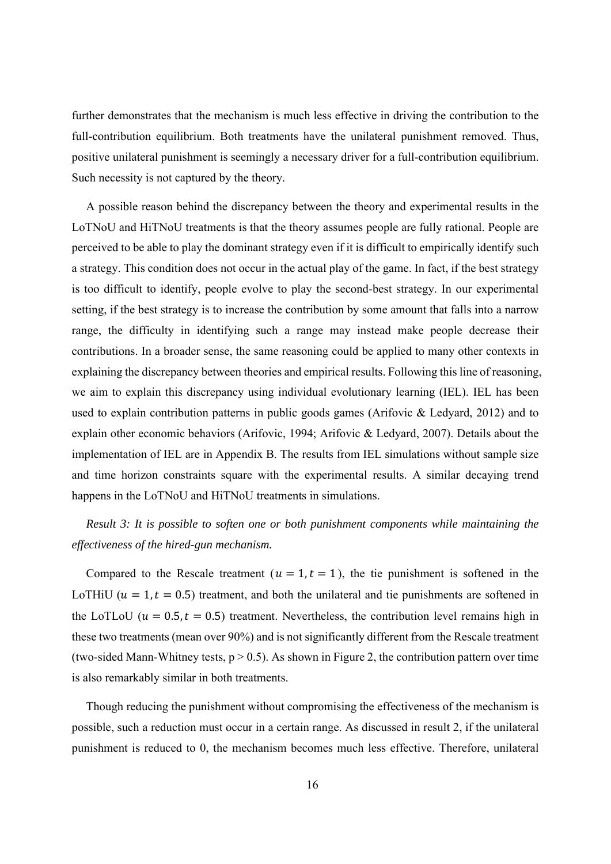further demonstrates that the mechanism is much less effective in driving the contribution to the full-contribution equilibrium. Both treatments have the unilateral punishment removed. Thus, positive unilateral punishment is seemingly a necessary driver for a full-contribution equilibrium. Such necessity is not captured by the theory.

A possible reason behind the discrepancy between the theory and experimental results in the LoTNoU and HiTNoU treatments is that the theory assumes people are fully rational. People are perceived to be able to play the dominant strategy even if it is difficult to empirically identify such a strategy. This condition does not occur in the actual play of the game. In fact, if the best strategy is too difficult to identify, people evolve to play the second-best strategy. In our experimental setting, if the best strategy is to increase the contribution by some amount that falls into a narrow range, the difficulty in identifying such a range may instead make people decrease their contributions. In a broader sense, the same reasoning could be applied to many other contexts in explaining the discrepancy between theories and empirical results. Following this line of reasoning, we aim to explain this discrepancy using individual evolutionary learning (IEL). IEL has been used to explain contribution patterns in public goods games (Arifovic & Ledyard, 2012) and to explain other economic behaviors (Arifovic, 1994; Arifovic & Ledyard, 2007). Details about the implementation of IEL are in Appendix B. The results from IEL simulations without sample size and time horizon constraints square with the experimental results. A similar decaying trend happens in the LoTNoU and HiTNoU treatments in simulations.

*Result 3: It is possible to soften one or both punishment components while maintaining the effectiveness of the hired-gun mechanism.* 

Compared to the Rescale treatment  $(u = 1, t = 1)$ , the tie punishment is softened in the LoTHiU ( $u = 1$ ,  $t = 0.5$ ) treatment, and both the unilateral and tie punishments are softened in the LoTLoU ( $u = 0.5$ ,  $t = 0.5$ ) treatment. Nevertheless, the contribution level remains high in these two treatments (mean over 90%) and is not significantly different from the Rescale treatment (two-sided Mann-Whitney tests,  $p > 0.5$ ). As shown in Figure 2, the contribution pattern over time is also remarkably similar in both treatments.

Though reducing the punishment without compromising the effectiveness of the mechanism is possible, such a reduction must occur in a certain range. As discussed in result 2, if the unilateral punishment is reduced to 0, the mechanism becomes much less effective. Therefore, unilateral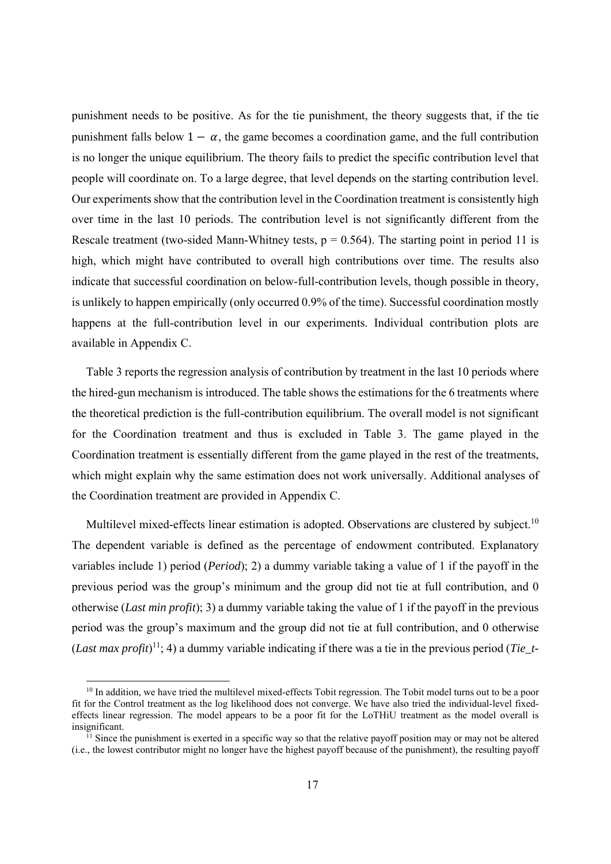punishment needs to be positive. As for the tie punishment, the theory suggests that, if the tie punishment falls below  $1 - \alpha$ , the game becomes a coordination game, and the full contribution is no longer the unique equilibrium. The theory fails to predict the specific contribution level that people will coordinate on. To a large degree, that level depends on the starting contribution level. Our experiments show that the contribution level in the Coordination treatment is consistently high over time in the last 10 periods. The contribution level is not significantly different from the Rescale treatment (two-sided Mann-Whitney tests,  $p = 0.564$ ). The starting point in period 11 is high, which might have contributed to overall high contributions over time. The results also indicate that successful coordination on below-full-contribution levels, though possible in theory, is unlikely to happen empirically (only occurred 0.9% of the time). Successful coordination mostly happens at the full-contribution level in our experiments. Individual contribution plots are available in Appendix C.

Table 3 reports the regression analysis of contribution by treatment in the last 10 periods where the hired-gun mechanism is introduced. The table shows the estimations for the 6 treatments where the theoretical prediction is the full-contribution equilibrium. The overall model is not significant for the Coordination treatment and thus is excluded in Table 3. The game played in the Coordination treatment is essentially different from the game played in the rest of the treatments, which might explain why the same estimation does not work universally. Additional analyses of the Coordination treatment are provided in Appendix C.

Multilevel mixed-effects linear estimation is adopted. Observations are clustered by subject.<sup>10</sup> The dependent variable is defined as the percentage of endowment contributed. Explanatory variables include 1) period (*Period*); 2) a dummy variable taking a value of 1 if the payoff in the previous period was the group's minimum and the group did not tie at full contribution, and 0 otherwise (*Last min profit*); 3) a dummy variable taking the value of 1 if the payoff in the previous period was the group's maximum and the group did not tie at full contribution, and 0 otherwise (*Last max profit*)<sup>11</sup>; 4) a dummy variable indicating if there was a tie in the previous period (*Tie\_t*-

<sup>&</sup>lt;sup>10</sup> In addition, we have tried the multilevel mixed-effects Tobit regression. The Tobit model turns out to be a poor fit for the Control treatment as the log likelihood does not converge. We have also tried the individual-level fixedeffects linear regression. The model appears to be a poor fit for the LoTHiU treatment as the model overall is insignificant. 11 Since the punishment is exerted in a specific way so that the relative payoff position may or may not be altered

<sup>(</sup>i.e., the lowest contributor might no longer have the highest payoff because of the punishment), the resulting payoff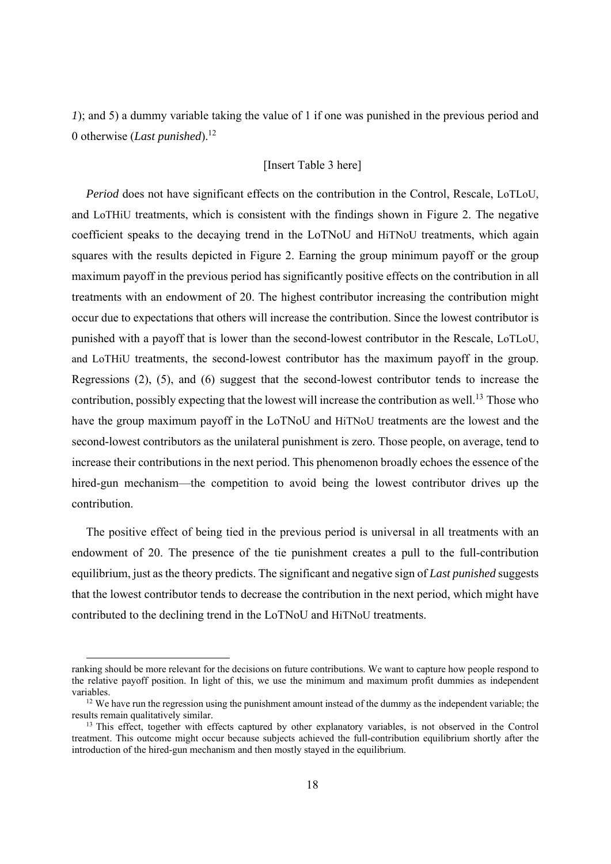*1*); and 5) a dummy variable taking the value of 1 if one was punished in the previous period and 0 otherwise (*Last punished*).12

## [Insert Table 3 here]

*Period* does not have significant effects on the contribution in the Control, Rescale, LoTLoU, and LoTHiU treatments, which is consistent with the findings shown in Figure 2. The negative coefficient speaks to the decaying trend in the LoTNoU and HiTNoU treatments, which again squares with the results depicted in Figure 2. Earning the group minimum payoff or the group maximum payoff in the previous period has significantly positive effects on the contribution in all treatments with an endowment of 20. The highest contributor increasing the contribution might occur due to expectations that others will increase the contribution. Since the lowest contributor is punished with a payoff that is lower than the second-lowest contributor in the Rescale, LoTLoU, and LoTHiU treatments, the second-lowest contributor has the maximum payoff in the group. Regressions (2), (5), and (6) suggest that the second-lowest contributor tends to increase the contribution, possibly expecting that the lowest will increase the contribution as well.<sup>13</sup> Those who have the group maximum payoff in the LoTNoU and HiTNoU treatments are the lowest and the second-lowest contributors as the unilateral punishment is zero. Those people, on average, tend to increase their contributions in the next period. This phenomenon broadly echoes the essence of the hired-gun mechanism—the competition to avoid being the lowest contributor drives up the contribution.

The positive effect of being tied in the previous period is universal in all treatments with an endowment of 20. The presence of the tie punishment creates a pull to the full-contribution equilibrium, just as the theory predicts. The significant and negative sign of *Last punished* suggests that the lowest contributor tends to decrease the contribution in the next period, which might have contributed to the declining trend in the LoTNoU and HiTNoU treatments.

ranking should be more relevant for the decisions on future contributions. We want to capture how people respond to the relative payoff position. In light of this, we use the minimum and maximum profit dummies as independent variables.<br><sup>12</sup> We have run the regression using the punishment amount instead of the dummy as the independent variable; the

results remain qualitatively similar. 13 This effect, together with effects captured by other explanatory variables, is not observed in the Control

treatment. This outcome might occur because subjects achieved the full-contribution equilibrium shortly after the introduction of the hired-gun mechanism and then mostly stayed in the equilibrium.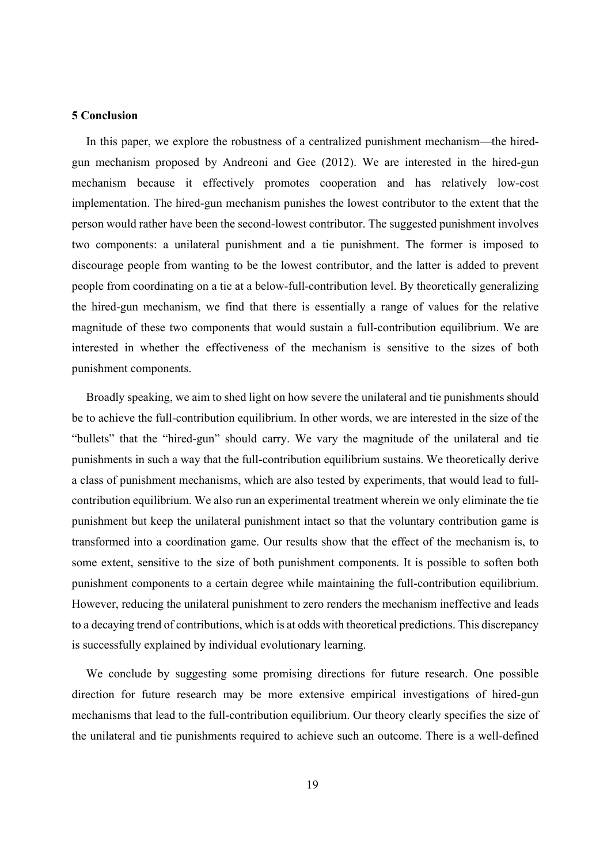## **5 Conclusion**

In this paper, we explore the robustness of a centralized punishment mechanism—the hiredgun mechanism proposed by Andreoni and Gee (2012). We are interested in the hired-gun mechanism because it effectively promotes cooperation and has relatively low-cost implementation. The hired-gun mechanism punishes the lowest contributor to the extent that the person would rather have been the second-lowest contributor. The suggested punishment involves two components: a unilateral punishment and a tie punishment. The former is imposed to discourage people from wanting to be the lowest contributor, and the latter is added to prevent people from coordinating on a tie at a below-full-contribution level. By theoretically generalizing the hired-gun mechanism, we find that there is essentially a range of values for the relative magnitude of these two components that would sustain a full-contribution equilibrium. We are interested in whether the effectiveness of the mechanism is sensitive to the sizes of both punishment components.

Broadly speaking, we aim to shed light on how severe the unilateral and tie punishments should be to achieve the full-contribution equilibrium. In other words, we are interested in the size of the "bullets" that the "hired-gun" should carry. We vary the magnitude of the unilateral and tie punishments in such a way that the full-contribution equilibrium sustains. We theoretically derive a class of punishment mechanisms, which are also tested by experiments, that would lead to fullcontribution equilibrium. We also run an experimental treatment wherein we only eliminate the tie punishment but keep the unilateral punishment intact so that the voluntary contribution game is transformed into a coordination game. Our results show that the effect of the mechanism is, to some extent, sensitive to the size of both punishment components. It is possible to soften both punishment components to a certain degree while maintaining the full-contribution equilibrium. However, reducing the unilateral punishment to zero renders the mechanism ineffective and leads to a decaying trend of contributions, which is at odds with theoretical predictions. This discrepancy is successfully explained by individual evolutionary learning.

We conclude by suggesting some promising directions for future research. One possible direction for future research may be more extensive empirical investigations of hired-gun mechanisms that lead to the full-contribution equilibrium. Our theory clearly specifies the size of the unilateral and tie punishments required to achieve such an outcome. There is a well-defined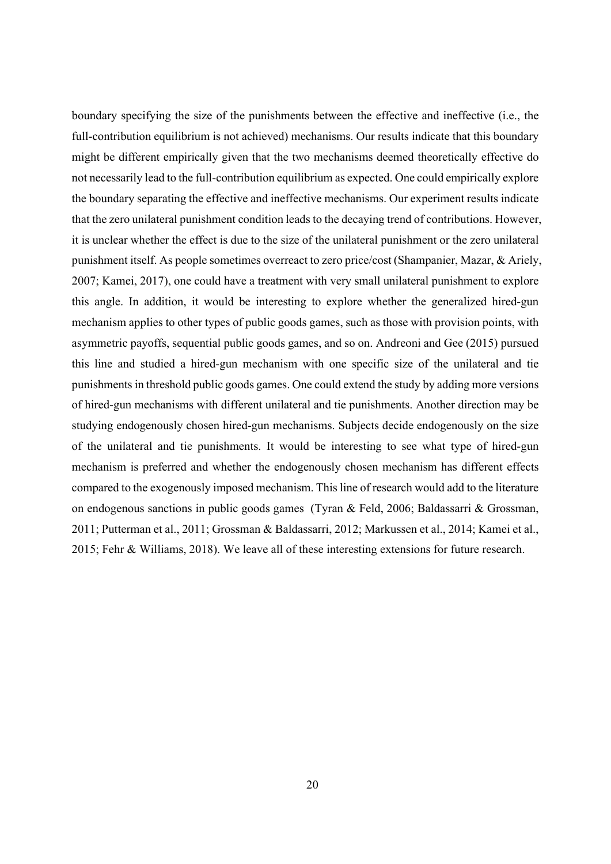boundary specifying the size of the punishments between the effective and ineffective (i.e., the full-contribution equilibrium is not achieved) mechanisms. Our results indicate that this boundary might be different empirically given that the two mechanisms deemed theoretically effective do not necessarily lead to the full-contribution equilibrium as expected. One could empirically explore the boundary separating the effective and ineffective mechanisms. Our experiment results indicate that the zero unilateral punishment condition leads to the decaying trend of contributions. However, it is unclear whether the effect is due to the size of the unilateral punishment or the zero unilateral punishment itself. As people sometimes overreact to zero price/cost (Shampanier, Mazar, & Ariely, 2007; Kamei, 2017), one could have a treatment with very small unilateral punishment to explore this angle. In addition, it would be interesting to explore whether the generalized hired-gun mechanism applies to other types of public goods games, such as those with provision points, with asymmetric payoffs, sequential public goods games, and so on. Andreoni and Gee (2015) pursued this line and studied a hired-gun mechanism with one specific size of the unilateral and tie punishments in threshold public goods games. One could extend the study by adding more versions of hired-gun mechanisms with different unilateral and tie punishments. Another direction may be studying endogenously chosen hired-gun mechanisms. Subjects decide endogenously on the size of the unilateral and tie punishments. It would be interesting to see what type of hired-gun mechanism is preferred and whether the endogenously chosen mechanism has different effects compared to the exogenously imposed mechanism. This line of research would add to the literature on endogenous sanctions in public goods games (Tyran & Feld, 2006; Baldassarri & Grossman, 2011; Putterman et al., 2011; Grossman & Baldassarri, 2012; Markussen et al., 2014; Kamei et al., 2015; Fehr & Williams, 2018). We leave all of these interesting extensions for future research.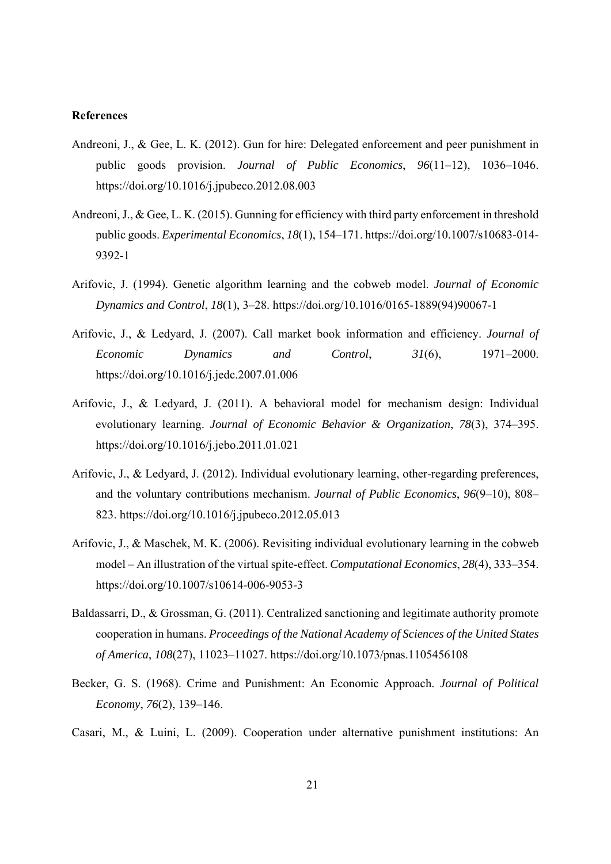## **References**

- Andreoni, J., & Gee, L. K. (2012). Gun for hire: Delegated enforcement and peer punishment in public goods provision. *Journal of Public Economics*, *96*(11–12), 1036–1046. https://doi.org/10.1016/j.jpubeco.2012.08.003
- Andreoni, J., & Gee, L. K. (2015). Gunning for efficiency with third party enforcement in threshold public goods. *Experimental Economics*, *18*(1), 154–171. https://doi.org/10.1007/s10683-014- 9392-1
- Arifovic, J. (1994). Genetic algorithm learning and the cobweb model. *Journal of Economic Dynamics and Control*, *18*(1), 3–28. https://doi.org/10.1016/0165-1889(94)90067-1
- Arifovic, J., & Ledyard, J. (2007). Call market book information and efficiency. *Journal of Economic Dynamics and Control*, *31*(6), 1971–2000. https://doi.org/10.1016/j.jedc.2007.01.006
- Arifovic, J., & Ledyard, J. (2011). A behavioral model for mechanism design: Individual evolutionary learning. *Journal of Economic Behavior & Organization*, *78*(3), 374–395. https://doi.org/10.1016/j.jebo.2011.01.021
- Arifovic, J., & Ledyard, J. (2012). Individual evolutionary learning, other-regarding preferences, and the voluntary contributions mechanism. *Journal of Public Economics*, *96*(9–10), 808– 823. https://doi.org/10.1016/j.jpubeco.2012.05.013
- Arifovic, J., & Maschek, M. K. (2006). Revisiting individual evolutionary learning in the cobweb model – An illustration of the virtual spite-effect. *Computational Economics*, *28*(4), 333–354. https://doi.org/10.1007/s10614-006-9053-3
- Baldassarri, D., & Grossman, G. (2011). Centralized sanctioning and legitimate authority promote cooperation in humans. *Proceedings of the National Academy of Sciences of the United States of America*, *108*(27), 11023–11027. https://doi.org/10.1073/pnas.1105456108
- Becker, G. S. (1968). Crime and Punishment: An Economic Approach. *Journal of Political Economy*, *76*(2), 139–146.
- Casari, M., & Luini, L. (2009). Cooperation under alternative punishment institutions: An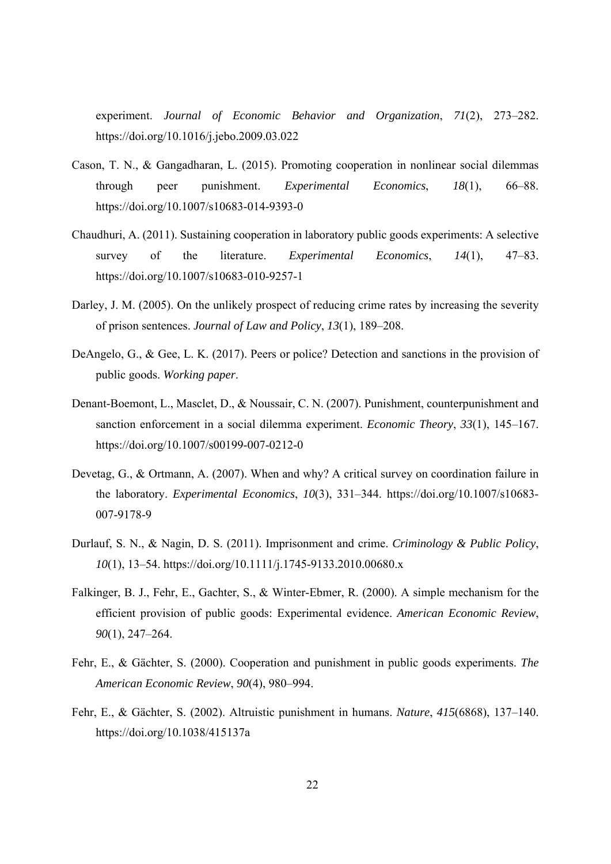experiment. *Journal of Economic Behavior and Organization*, *71*(2), 273–282. https://doi.org/10.1016/j.jebo.2009.03.022

- Cason, T. N., & Gangadharan, L. (2015). Promoting cooperation in nonlinear social dilemmas through peer punishment. *Experimental Economics*, *18*(1), 66–88. https://doi.org/10.1007/s10683-014-9393-0
- Chaudhuri, A. (2011). Sustaining cooperation in laboratory public goods experiments: A selective survey of the literature. *Experimental Economics*, *14*(1), 47–83. https://doi.org/10.1007/s10683-010-9257-1
- Darley, J. M. (2005). On the unlikely prospect of reducing crime rates by increasing the severity of prison sentences. *Journal of Law and Policy*, *13*(1), 189–208.
- DeAngelo, G., & Gee, L. K. (2017). Peers or police? Detection and sanctions in the provision of public goods. *Working paper*.
- Denant-Boemont, L., Masclet, D., & Noussair, C. N. (2007). Punishment, counterpunishment and sanction enforcement in a social dilemma experiment. *Economic Theory*, *33*(1), 145–167. https://doi.org/10.1007/s00199-007-0212-0
- Devetag, G., & Ortmann, A. (2007). When and why? A critical survey on coordination failure in the laboratory. *Experimental Economics*, *10*(3), 331–344. https://doi.org/10.1007/s10683- 007-9178-9
- Durlauf, S. N., & Nagin, D. S. (2011). Imprisonment and crime. *Criminology & Public Policy*, *10*(1), 13–54. https://doi.org/10.1111/j.1745-9133.2010.00680.x
- Falkinger, B. J., Fehr, E., Gachter, S., & Winter-Ebmer, R. (2000). A simple mechanism for the efficient provision of public goods: Experimental evidence. *American Economic Review*, *90*(1), 247–264.
- Fehr, E., & Gächter, S. (2000). Cooperation and punishment in public goods experiments. *The American Economic Review*, *90*(4), 980–994.
- Fehr, E., & Gächter, S. (2002). Altruistic punishment in humans. *Nature*, *415*(6868), 137–140. https://doi.org/10.1038/415137a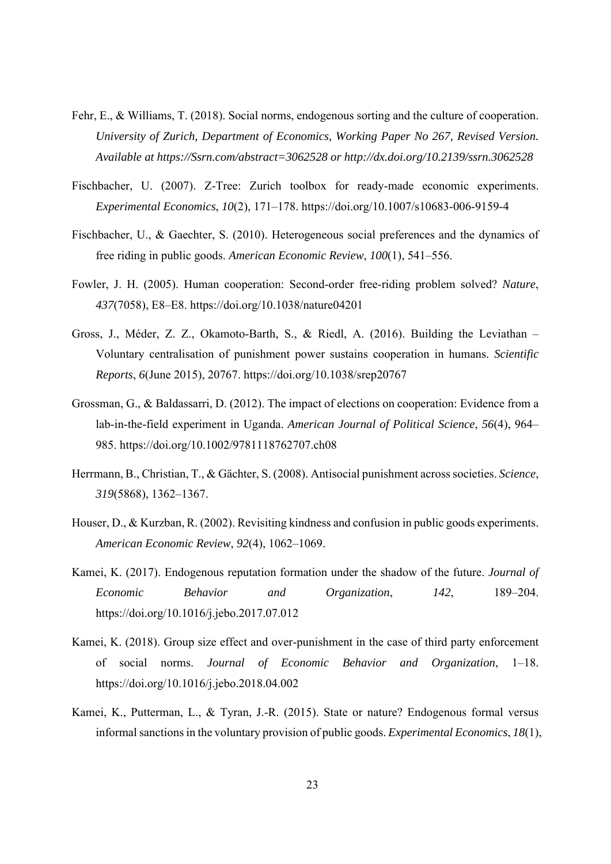- Fehr, E., & Williams, T. (2018). Social norms, endogenous sorting and the culture of cooperation. *University of Zurich, Department of Economics, Working Paper No 267, Revised Version. Available at https://Ssrn.com/abstract=3062528 or http://dx.doi.org/10.2139/ssrn.3062528*
- Fischbacher, U. (2007). Z-Tree: Zurich toolbox for ready-made economic experiments. *Experimental Economics*, *10*(2), 171–178. https://doi.org/10.1007/s10683-006-9159-4
- Fischbacher, U., & Gaechter, S. (2010). Heterogeneous social preferences and the dynamics of free riding in public goods. *American Economic Review*, *100*(1), 541–556.
- Fowler, J. H. (2005). Human cooperation: Second-order free-riding problem solved? *Nature*, *437*(7058), E8–E8. https://doi.org/10.1038/nature04201
- Gross, J., Méder, Z. Z., Okamoto-Barth, S., & Riedl, A. (2016). Building the Leviathan Voluntary centralisation of punishment power sustains cooperation in humans. *Scientific Reports*, *6*(June 2015), 20767. https://doi.org/10.1038/srep20767
- Grossman, G., & Baldassarri, D. (2012). The impact of elections on cooperation: Evidence from a lab-in-the-field experiment in Uganda. *American Journal of Political Science*, *56*(4), 964– 985. https://doi.org/10.1002/9781118762707.ch08
- Herrmann, B., Christian, T., & Gächter, S. (2008). Antisocial punishment across societies. *Science*, *319*(5868), 1362–1367.
- Houser, D., & Kurzban, R. (2002). Revisiting kindness and confusion in public goods experiments. *American Economic Review*, *92*(4), 1062–1069.
- Kamei, K. (2017). Endogenous reputation formation under the shadow of the future. *Journal of Economic Behavior and Organization*, *142*, 189–204. https://doi.org/10.1016/j.jebo.2017.07.012
- Kamei, K. (2018). Group size effect and over-punishment in the case of third party enforcement of social norms. *Journal of Economic Behavior and Organization*, 1–18. https://doi.org/10.1016/j.jebo.2018.04.002
- Kamei, K., Putterman, L., & Tyran, J.-R. (2015). State or nature? Endogenous formal versus informal sanctions in the voluntary provision of public goods. *Experimental Economics*, *18*(1),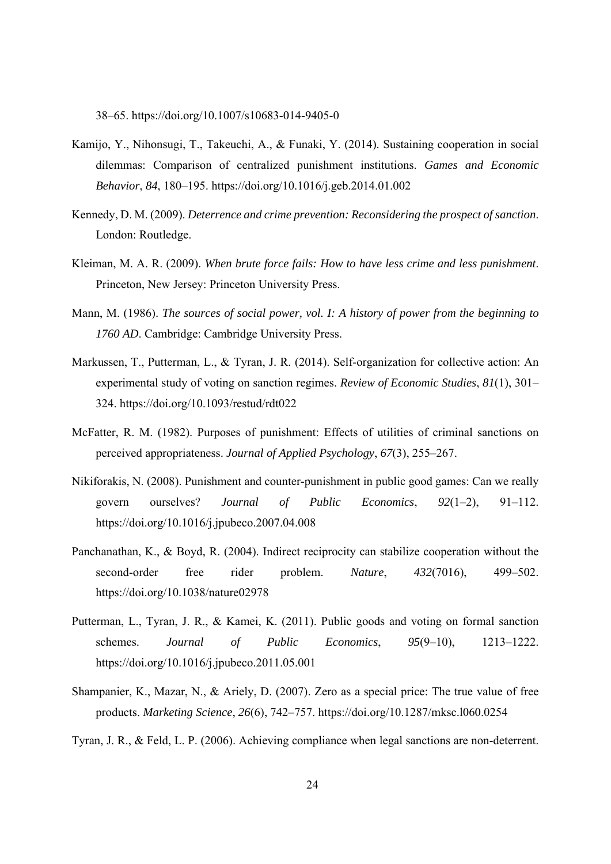38–65. https://doi.org/10.1007/s10683-014-9405-0

- Kamijo, Y., Nihonsugi, T., Takeuchi, A., & Funaki, Y. (2014). Sustaining cooperation in social dilemmas: Comparison of centralized punishment institutions. *Games and Economic Behavior*, *84*, 180–195. https://doi.org/10.1016/j.geb.2014.01.002
- Kennedy, D. M. (2009). *Deterrence and crime prevention: Reconsidering the prospect of sanction*. London: Routledge.
- Kleiman, M. A. R. (2009). *When brute force fails: How to have less crime and less punishment*. Princeton, New Jersey: Princeton University Press.
- Mann, M. (1986). *The sources of social power, vol. I: A history of power from the beginning to 1760 AD*. Cambridge: Cambridge University Press.
- Markussen, T., Putterman, L., & Tyran, J. R. (2014). Self-organization for collective action: An experimental study of voting on sanction regimes. *Review of Economic Studies*, *81*(1), 301– 324. https://doi.org/10.1093/restud/rdt022
- McFatter, R. M. (1982). Purposes of punishment: Effects of utilities of criminal sanctions on perceived appropriateness. *Journal of Applied Psychology*, *67*(3), 255–267.
- Nikiforakis, N. (2008). Punishment and counter-punishment in public good games: Can we really govern ourselves? *Journal of Public Economics*, *92*(1–2), 91–112. https://doi.org/10.1016/j.jpubeco.2007.04.008
- Panchanathan, K., & Boyd, R. (2004). Indirect reciprocity can stabilize cooperation without the second-order free rider problem. *Nature*, *432*(7016), 499–502. https://doi.org/10.1038/nature02978
- Putterman, L., Tyran, J. R., & Kamei, K. (2011). Public goods and voting on formal sanction schemes. *Journal of Public Economics*, *95*(9–10), 1213–1222. https://doi.org/10.1016/j.jpubeco.2011.05.001
- Shampanier, K., Mazar, N., & Ariely, D. (2007). Zero as a special price: The true value of free products. *Marketing Science*, *26*(6), 742–757. https://doi.org/10.1287/mksc.l060.0254
- Tyran, J. R., & Feld, L. P. (2006). Achieving compliance when legal sanctions are non-deterrent.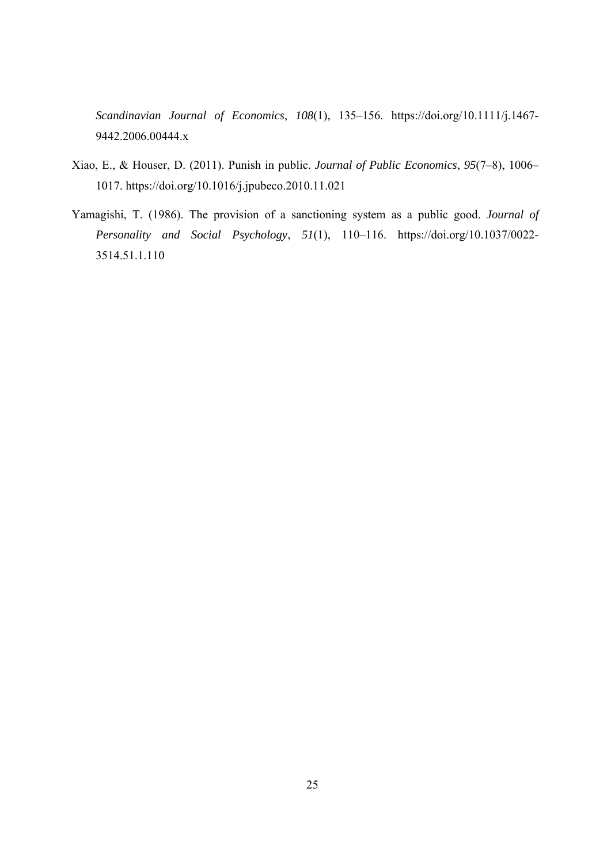*Scandinavian Journal of Economics*, *108*(1), 135–156. https://doi.org/10.1111/j.1467- 9442.2006.00444.x

- Xiao, E., & Houser, D. (2011). Punish in public. *Journal of Public Economics*, *95*(7–8), 1006– 1017. https://doi.org/10.1016/j.jpubeco.2010.11.021
- Yamagishi, T. (1986). The provision of a sanctioning system as a public good. *Journal of Personality and Social Psychology*, *51*(1), 110–116. https://doi.org/10.1037/0022- 3514.51.1.110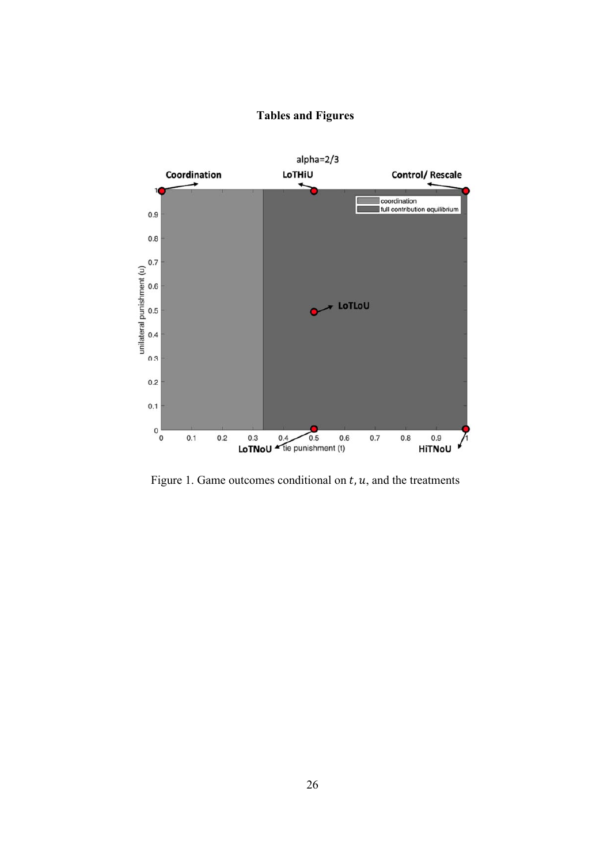

## **Tables and Figures**

Figure 1. Game outcomes conditional on  $t$ ,  $u$ , and the treatments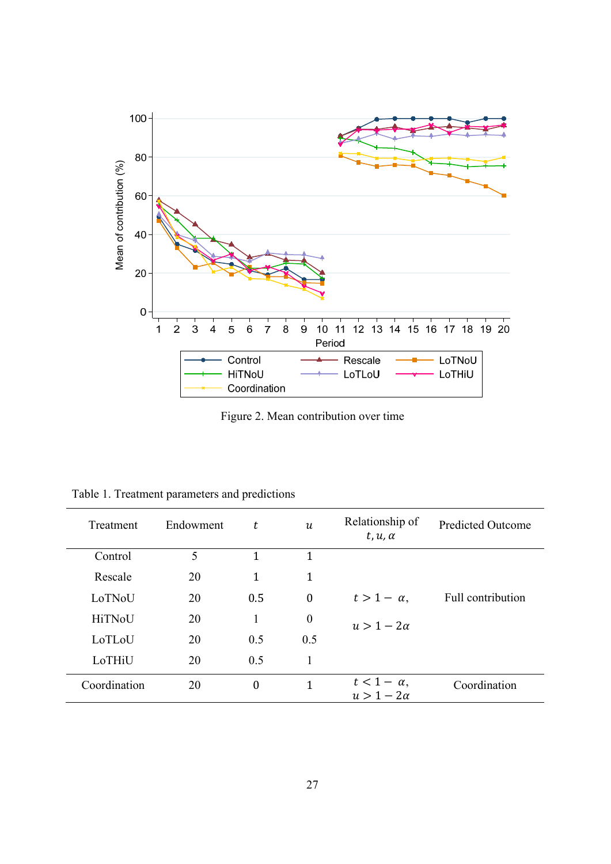

Figure 2. Mean contribution over time

| Treatment    | Endowment | t                | $\boldsymbol{u}$ | Relationship of<br>$t, u, \alpha$       | <b>Predicted Outcome</b> |
|--------------|-----------|------------------|------------------|-----------------------------------------|--------------------------|
| Control      | 5         | 1                | 1                |                                         |                          |
| Rescale      | 20        | 1                | $\mathbf{1}$     |                                         |                          |
| LoTNoU       | 20        | 0.5              | $\boldsymbol{0}$ | $t > 1 - \alpha$ ,                      | Full contribution        |
| HiTNoU       | 20        | 1                | $\boldsymbol{0}$ | $u > 1 - 2\alpha$                       |                          |
| LoTLoU       | 20        | 0.5              | 0.5              |                                         |                          |
| LoTHiU       | 20        | 0.5              |                  |                                         |                          |
| Coordination | 20        | $\boldsymbol{0}$ | 1                | $t < 1 - \alpha$ ,<br>$u > 1 - 2\alpha$ | Coordination             |

Table 1. Treatment parameters and predictions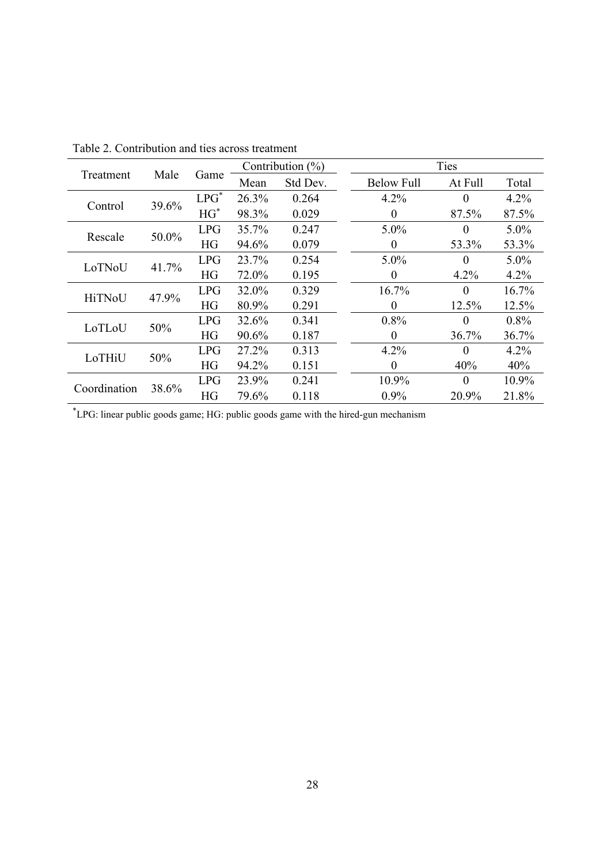|              | Male  | Game       | Contribution $(\% )$ |          |            | Ties     |          |       |
|--------------|-------|------------|----------------------|----------|------------|----------|----------|-------|
| Treatment    |       |            | Mean                 | Std Dev. | Below Full | At Full  | Total    |       |
| Control      | 39.6% | $LPG^*$    | 26.3%                | 0.264    | 4.2%       | $\theta$ | 4.2%     |       |
|              |       | $HG^*$     | 98.3%                | 0.029    | $\Omega$   | 87.5%    | 87.5%    |       |
| Rescale      | 50.0% | LPG        | 35.7%                | 0.247    | $5.0\%$    | $\theta$ | $5.0\%$  |       |
|              |       | HG         | 94.6%                | 0.079    | $\Omega$   | 53.3%    | 53.3%    |       |
| LoTNoU       | 41.7% | <b>LPG</b> | 23.7%                | 0.254    | $5.0\%$    | $\theta$ | $5.0\%$  |       |
|              |       | HG         | 72.0%                | 0.195    | $\Omega$   | 4.2%     | 4.2%     |       |
| HiTNoU       | 47.9% | LPG        | 32.0%                | 0.329    | $16.7\%$   | $\Omega$ | $16.7\%$ |       |
|              |       | HG         | 80.9%                | 0.291    | $_{0}$     | 12.5%    | 12.5%    |       |
| LoTLoU       | 50%   | LPG        | 32.6%                | 0.341    | 0.8%       | $\Omega$ | $0.8\%$  |       |
|              |       | HG         | 90.6%                | 0.187    | $\Omega$   | 36.7%    | 36.7%    |       |
| LoTHiU       | 50%   | <b>LPG</b> | 27.2%                | 0.313    | 4.2%       | $\theta$ | 4.2%     |       |
|              |       | HG         | 94.2%                | 0.151    | $\Omega$   | 40%      | 40%      |       |
| Coordination | 38.6% | <b>LPG</b> | 23.9%                | 0.241    | 10.9%      | $\Omega$ | 10.9%    |       |
|              |       |            | HG                   | 79.6%    | 0.118      | $0.9\%$  | 20.9%    | 21.8% |

Table 2. Contribution and ties across treatment

\* LPG: linear public goods game; HG: public goods game with the hired-gun mechanism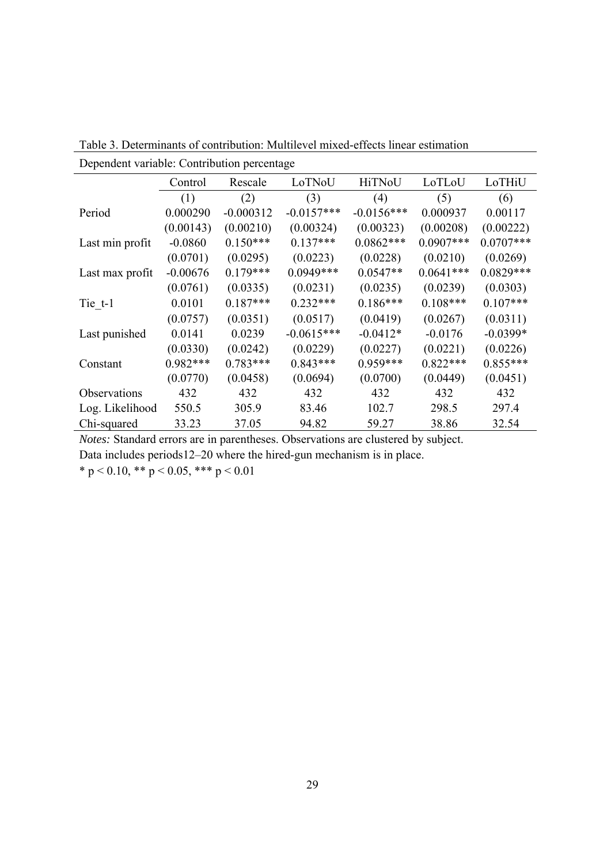| Dependent variable: Contribution percentage |            |             |              |              |             |             |
|---------------------------------------------|------------|-------------|--------------|--------------|-------------|-------------|
|                                             | Control    | Rescale     | LoTNoU       | HiTNoU       | LoTLoU      | LoTHiU      |
|                                             | (1)        | (2)         | (3)          | (4)          | (5)         | (6)         |
| Period                                      | 0.000290   | $-0.000312$ | $-0.0157***$ | $-0.0156***$ | 0.000937    | 0.00117     |
|                                             | (0.00143)  | (0.00210)   | (0.00324)    | (0.00323)    | (0.00208)   | (0.00222)   |
| Last min profit                             | $-0.0860$  | $0.150***$  | $0.137***$   | $0.0862***$  | $0.0907***$ | $0.0707***$ |
|                                             | (0.0701)   | (0.0295)    | (0.0223)     | (0.0228)     | (0.0210)    | (0.0269)    |
| Last max profit                             | $-0.00676$ | $0.179***$  | $0.0949***$  | $0.0547**$   | $0.0641***$ | $0.0829***$ |
|                                             | (0.0761)   | (0.0335)    | (0.0231)     | (0.0235)     | (0.0239)    | (0.0303)    |
| Tie t-1                                     | 0.0101     | $0.187***$  | $0.232***$   | $0.186***$   | $0.108***$  | $0.107***$  |
|                                             | (0.0757)   | (0.0351)    | (0.0517)     | (0.0419)     | (0.0267)    | (0.0311)    |
| Last punished                               | 0.0141     | 0.0239      | $-0.0615***$ | $-0.0412*$   | $-0.0176$   | $-0.0399*$  |
|                                             | (0.0330)   | (0.0242)    | (0.0229)     | (0.0227)     | (0.0221)    | (0.0226)    |
| Constant                                    | $0.982***$ | $0.783***$  | $0.843***$   | $0.959***$   | $0.822***$  | $0.855***$  |
|                                             | (0.0770)   | (0.0458)    | (0.0694)     | (0.0700)     | (0.0449)    | (0.0451)    |
| Observations                                | 432        | 432         | 432          | 432          | 432         | 432         |
| Log. Likelihood                             | 550.5      | 305.9       | 83.46        | 102.7        | 298.5       | 297.4       |
| Chi-squared                                 | 33.23      | 37.05       | 94.82        | 59.27        | 38.86       | 32.54       |

Table 3. Determinants of contribution: Multilevel mixed-effects linear estimation

*Notes:* Standard errors are in parentheses. Observations are clustered by subject.

Data includes periods12–20 where the hired-gun mechanism is in place.

\* p < 0.10, \*\* p < 0.05, \*\*\* p < 0.01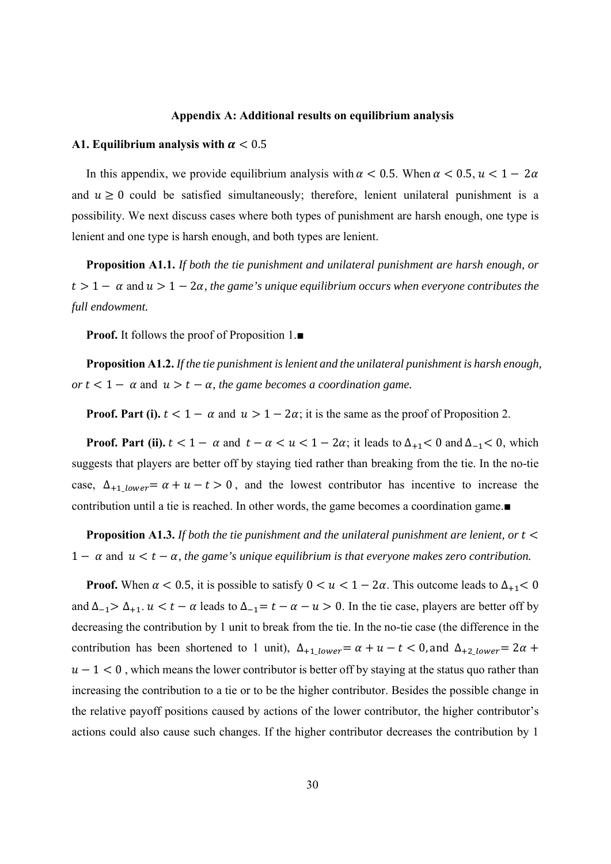#### **Appendix A: Additional results on equilibrium analysis**

## A1. Equilibrium analysis with  $\alpha$  < 0.5

In this appendix, we provide equilibrium analysis with  $\alpha < 0.5$ . When  $\alpha < 0.5$ ,  $\alpha < 1 - 2\alpha$ and  $u \ge 0$  could be satisfied simultaneously; therefore, lenient unilateral punishment is a possibility. We next discuss cases where both types of punishment are harsh enough, one type is lenient and one type is harsh enough, and both types are lenient.

**Proposition A1.1.** *If both the tie punishment and unilateral punishment are harsh enough, or*   $t > 1 - \alpha$  and  $u > 1 - 2\alpha$ , the game's unique equilibrium occurs when everyone contributes the *full endowment.* 

**Proof.** It follows the proof of Proposition 1.■

**Proposition A1.2.** *If the tie punishment is lenient and the unilateral punishment is harsh enough, or*  $t < 1 - \alpha$  and  $u > t - \alpha$ , the game becomes a coordination game.

**Proof. Part (i).**  $t < 1 - \alpha$  and  $\alpha > 1 - 2\alpha$ ; it is the same as the proof of Proposition 2.

**Proof. Part (ii).**  $t < 1 - \alpha$  and  $t - \alpha < u < 1 - 2\alpha$ ; it leads to  $\Delta_{+1} < 0$  and  $\Delta_{-1} < 0$ , which suggests that players are better off by staying tied rather than breaking from the tie. In the no-tie case,  $\Delta_{+1 \text{ lower}} = \alpha + u - t > 0$ , and the lowest contributor has incentive to increase the contribution until a tie is reached. In other words, the game becomes a coordination game.■

**Proposition A1.3.** If both the tie punishment and the unilateral punishment are lenient, or  $t <$  $1 - \alpha$  and  $u < t - \alpha$ , the game's unique equilibrium is that everyone makes zero contribution.

**Proof.** When  $\alpha$  < 0.5, it is possible to satisfy  $0 < \alpha < 1 - 2\alpha$ . This outcome leads to  $\Delta_{+1}$  < 0 and  $\Delta_{-1} > \Delta_{+1}$ .  $u < t - \alpha$  leads to  $\Delta_{-1} = t - \alpha - u > 0$ . In the tie case, players are better off by decreasing the contribution by 1 unit to break from the tie. In the no-tie case (the difference in the contribution has been shortened to 1 unit),  $\Delta_{+1\ lower} = \alpha + u - t < 0$ , and  $\Delta_{+2\ lower} = 2\alpha +$  $u - 1 < 0$ , which means the lower contributor is better off by staying at the status quo rather than increasing the contribution to a tie or to be the higher contributor. Besides the possible change in the relative payoff positions caused by actions of the lower contributor, the higher contributor's actions could also cause such changes. If the higher contributor decreases the contribution by 1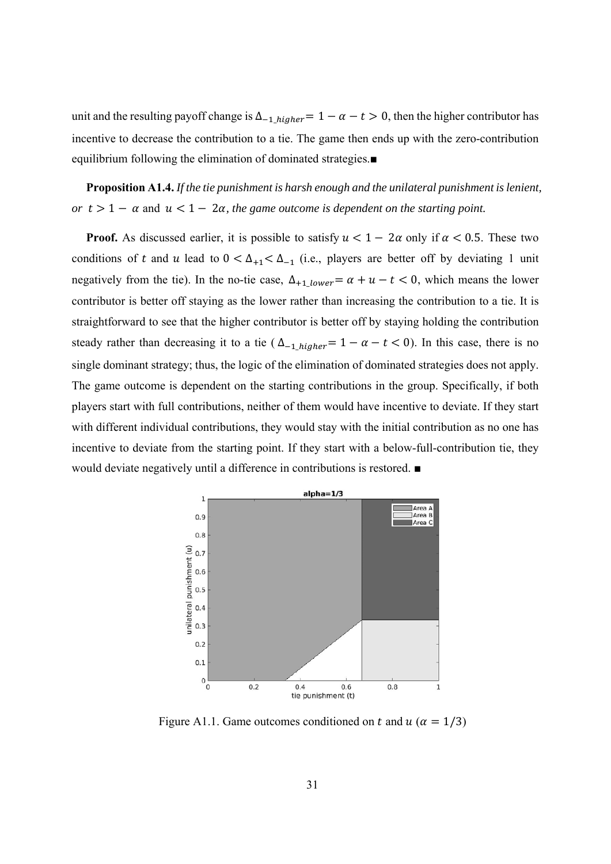unit and the resulting payoff change is  $\Delta_{-1 \text{ higher}} = 1 - \alpha - t > 0$ , then the higher contributor has incentive to decrease the contribution to a tie. The game then ends up with the zero-contribution equilibrium following the elimination of dominated strategies.■

**Proposition A1.4.** *If the tie punishment is harsh enough and the unilateral punishment is lenient, or*  $t > 1 - \alpha$  and  $u < 1 - 2\alpha$ , the game outcome is dependent on the starting point.

**Proof.** As discussed earlier, it is possible to satisfy  $u < 1 - 2\alpha$  only if  $\alpha < 0.5$ . These two conditions of t and u lead to  $0 < \Delta_{+1} < \Delta_{-1}$  (i.e., players are better off by deviating 1 unit negatively from the tie). In the no-tie case,  $\Delta_{+1\_lower} = \alpha + u - t < 0$ , which means the lower contributor is better off staying as the lower rather than increasing the contribution to a tie. It is straightforward to see that the higher contributor is better off by staying holding the contribution steady rather than decreasing it to a tie ( $\Delta_{-1 \; higher} = 1 - \alpha - t < 0$ ). In this case, there is no single dominant strategy; thus, the logic of the elimination of dominated strategies does not apply. The game outcome is dependent on the starting contributions in the group. Specifically, if both players start with full contributions, neither of them would have incentive to deviate. If they start with different individual contributions, they would stay with the initial contribution as no one has incentive to deviate from the starting point. If they start with a below-full-contribution tie, they would deviate negatively until a difference in contributions is restored. ■



Figure A1.1. Game outcomes conditioned on t and  $u$  ( $\alpha = 1/3$ )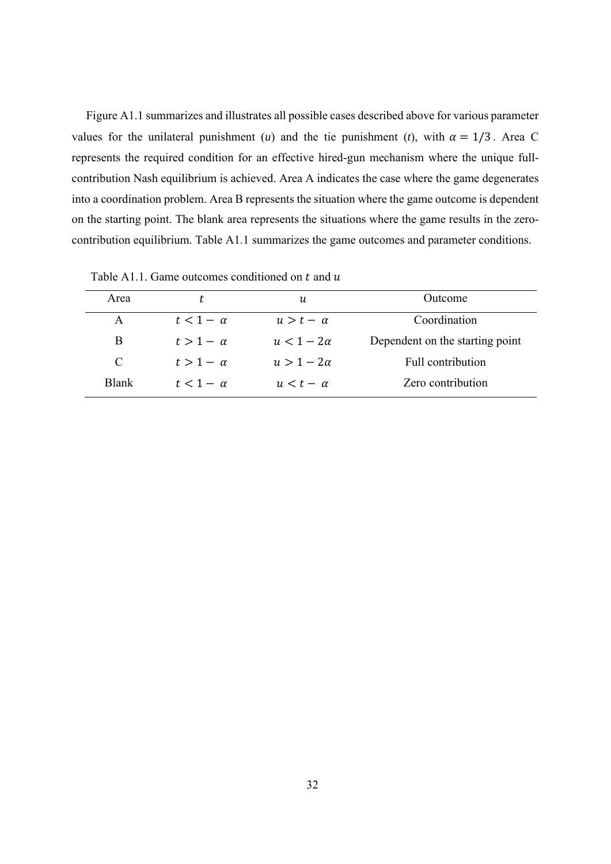Figure A1.1 summarizes and illustrates all possible cases described above for various parameter values for the unilateral punishment (*u*) and the tie punishment (*t*), with  $\alpha = 1/3$ . Area C represents the required condition for an effective hired-gun mechanism where the unique fullcontribution Nash equilibrium is achieved. Area A indicates the case where the game degenerates into a coordination problem. Area B represents the situation where the game outcome is dependent on the starting point. The blank area represents the situations where the game results in the zerocontribution equilibrium. Table A1.1 summarizes the game outcomes and parameter conditions.

| Area         |                  | и                 | Outcome                         |
|--------------|------------------|-------------------|---------------------------------|
| A            | $t < 1 - \alpha$ | $u > t - \alpha$  | Coordination                    |
| B            | $t > 1 - \alpha$ | $u < 1-2\alpha$   | Dependent on the starting point |
| C            | $t > 1 - \alpha$ | $u > 1 - 2\alpha$ | Full contribution               |
| <b>Blank</b> | $t < 1 - \alpha$ | $u < t - \alpha$  | Zero contribution               |

Table A1.1. Game outcomes conditioned on  $t$  and  $u$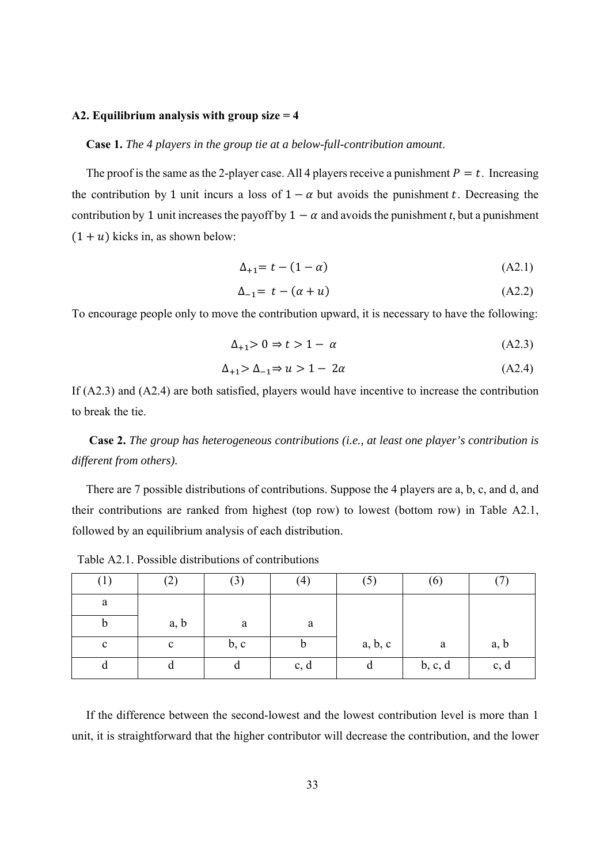### **A2. Equilibrium analysis with group size = 4**

### **Case 1.** *The 4 players in the group tie at a below-full-contribution amount*.

The proof is the same as the 2-player case. All 4 players receive a punishment  $P = t$ . Increasing the contribution by 1 unit incurs a loss of  $1 - \alpha$  but avoids the punishment t. Decreasing the contribution by 1 unit increases the payoff by  $1 - \alpha$  and avoids the punishment *t*, but a punishment  $(1 + u)$  kicks in, as shown below:

$$
\Delta_{+1} = t - (1 - \alpha) \tag{A2.1}
$$

$$
\Delta_{-1} = t - (\alpha + u) \tag{A2.2}
$$

To encourage people only to move the contribution upward, it is necessary to have the following:

$$
\Delta_{+1} > 0 \Rightarrow t > 1 - \alpha \tag{A2.3}
$$

$$
\Delta_{+1} > \Delta_{-1} \Rightarrow u > 1 - 2\alpha \tag{A2.4}
$$

If (A2.3) and (A2.4) are both satisfied, players would have incentive to increase the contribution to break the tie.

**Case 2.** *The group has heterogeneous contributions (i.e., at least one player's contribution is different from others).* 

There are 7 possible distributions of contributions. Suppose the 4 players are a, b, c, and d, and their contributions are ranked from highest (top row) to lowest (bottom row) in Table A2.1, followed by an equilibrium analysis of each distribution.

Table A2.1. Possible distributions of contributions

| (1)         | $\left( 2\right)$ | (3)  | (4)  | (5)     | (6)     |      |
|-------------|-------------------|------|------|---------|---------|------|
| a           |                   |      |      |         |         |      |
| b           | a, b              | a    | a    |         |         |      |
| $\mathbf c$ | $\mathbf c$       | b, c | b    | a, b, c | a       | a, b |
| u           | a                 | a    | c, d | đ       | b, c, d | c, d |

If the difference between the second-lowest and the lowest contribution level is more than 1 unit, it is straightforward that the higher contributor will decrease the contribution, and the lower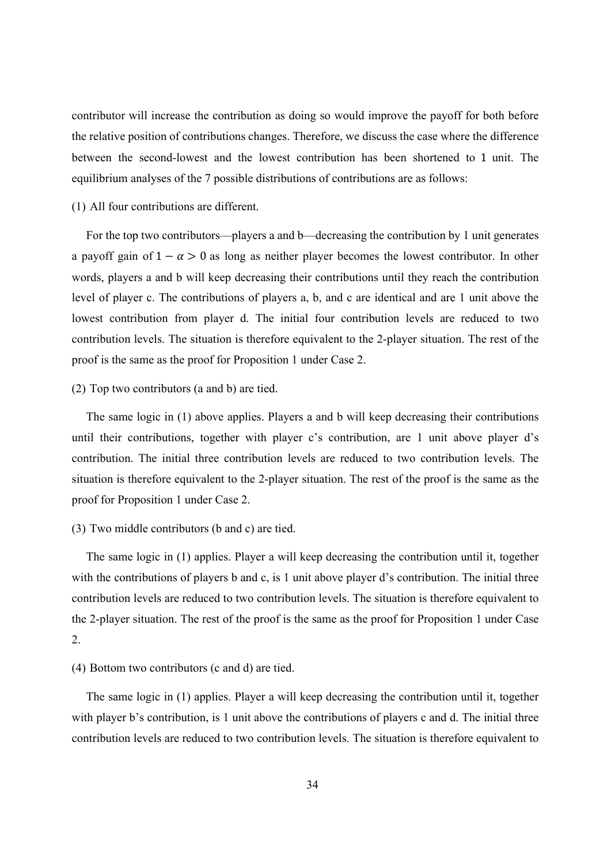contributor will increase the contribution as doing so would improve the payoff for both before the relative position of contributions changes. Therefore, we discuss the case where the difference between the second-lowest and the lowest contribution has been shortened to 1 unit. The equilibrium analyses of the 7 possible distributions of contributions are as follows:

#### (1) All four contributions are different.

For the top two contributors—players a and b—decreasing the contribution by 1 unit generates a payoff gain of  $1-\alpha>0$  as long as neither player becomes the lowest contributor. In other words, players a and b will keep decreasing their contributions until they reach the contribution level of player c. The contributions of players a, b, and c are identical and are 1 unit above the lowest contribution from player d. The initial four contribution levels are reduced to two contribution levels. The situation is therefore equivalent to the 2-player situation. The rest of the proof is the same as the proof for Proposition 1 under Case 2.

#### (2) Top two contributors (a and b) are tied.

The same logic in (1) above applies. Players a and b will keep decreasing their contributions until their contributions, together with player c's contribution, are 1 unit above player d's contribution. The initial three contribution levels are reduced to two contribution levels. The situation is therefore equivalent to the 2-player situation. The rest of the proof is the same as the proof for Proposition 1 under Case 2.

### (3) Two middle contributors (b and c) are tied.

The same logic in (1) applies. Player a will keep decreasing the contribution until it, together with the contributions of players b and c, is 1 unit above player d's contribution. The initial three contribution levels are reduced to two contribution levels. The situation is therefore equivalent to the 2-player situation. The rest of the proof is the same as the proof for Proposition 1 under Case 2.

## (4) Bottom two contributors (c and d) are tied.

The same logic in (1) applies. Player a will keep decreasing the contribution until it, together with player b's contribution, is 1 unit above the contributions of players c and d. The initial three contribution levels are reduced to two contribution levels. The situation is therefore equivalent to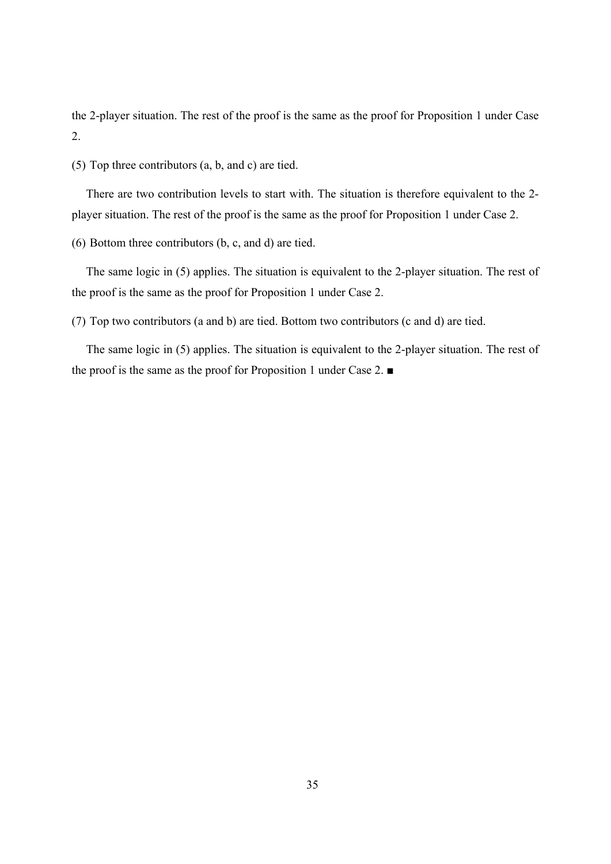the 2-player situation. The rest of the proof is the same as the proof for Proposition 1 under Case 2.

(5) Top three contributors (a, b, and c) are tied.

There are two contribution levels to start with. The situation is therefore equivalent to the 2 player situation. The rest of the proof is the same as the proof for Proposition 1 under Case 2.

(6) Bottom three contributors (b, c, and d) are tied.

The same logic in (5) applies. The situation is equivalent to the 2-player situation. The rest of the proof is the same as the proof for Proposition 1 under Case 2.

(7) Top two contributors (a and b) are tied. Bottom two contributors (c and d) are tied.

The same logic in (5) applies. The situation is equivalent to the 2-player situation. The rest of the proof is the same as the proof for Proposition 1 under Case 2. ■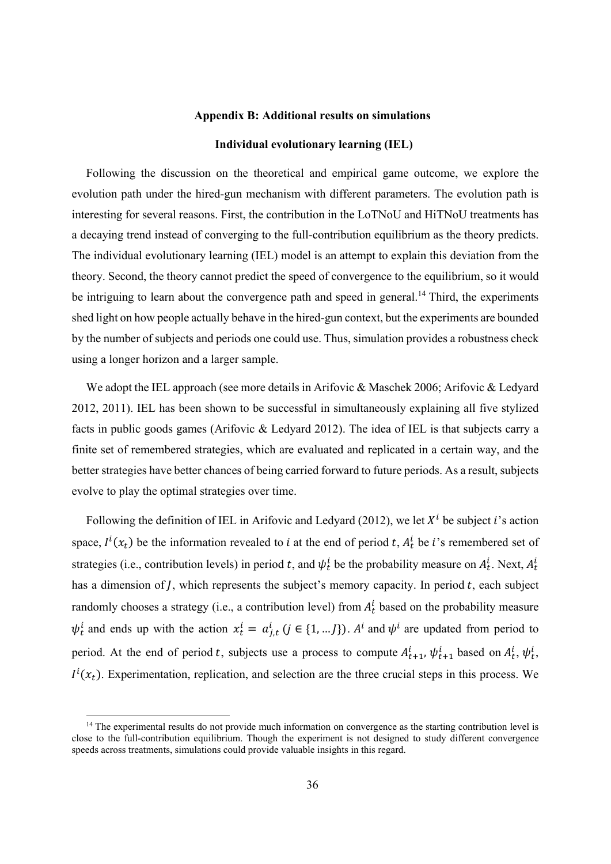#### **Appendix B: Additional results on simulations**

### **Individual evolutionary learning (IEL)**

Following the discussion on the theoretical and empirical game outcome, we explore the evolution path under the hired-gun mechanism with different parameters. The evolution path is interesting for several reasons. First, the contribution in the LoTNoU and HiTNoU treatments has a decaying trend instead of converging to the full-contribution equilibrium as the theory predicts. The individual evolutionary learning (IEL) model is an attempt to explain this deviation from the theory. Second, the theory cannot predict the speed of convergence to the equilibrium, so it would be intriguing to learn about the convergence path and speed in general.<sup>14</sup> Third, the experiments shed light on how people actually behave in the hired-gun context, but the experiments are bounded by the number of subjects and periods one could use. Thus, simulation provides a robustness check using a longer horizon and a larger sample.

We adopt the IEL approach (see more details in Arifovic & Maschek 2006; Arifovic & Ledyard 2012, 2011). IEL has been shown to be successful in simultaneously explaining all five stylized facts in public goods games (Arifovic & Ledyard 2012). The idea of IEL is that subjects carry a finite set of remembered strategies, which are evaluated and replicated in a certain way, and the better strategies have better chances of being carried forward to future periods. As a result, subjects evolve to play the optimal strategies over time.

Following the definition of IEL in Arifovic and Ledyard (2012), we let  $X^i$  be subject i's action space,  $I^i(x_t)$  be the information revealed to *i* at the end of period *t*,  $A_t^i$  be *i*'s remembered set of strategies (i.e., contribution levels) in period t, and  $\psi_t^i$  be the probability measure on  $A_t^i$ . Next,  $A_t^i$ has a dimension of  $J$ , which represents the subject's memory capacity. In period  $t$ , each subject randomly chooses a strategy (i.e., a contribution level) from  $A_t^i$  based on the probability measure  $\psi_t^i$  and ends up with the action  $x_t^i = a_{j,t}^i$  ( $j \in \{1, ... J\}$ ).  $A^i$  and  $\psi^i$  are updated from period to period. At the end of period t, subjects use a process to compute  $A_{t+1}^i$ ,  $\psi_{t+1}^i$  based on  $A_t^i$ ,  $\psi_t^i$ ,  $I^{i}(x_t)$ . Experimentation, replication, and selection are the three crucial steps in this process. We

<sup>&</sup>lt;sup>14</sup> The experimental results do not provide much information on convergence as the starting contribution level is close to the full-contribution equilibrium. Though the experiment is not designed to study different convergence speeds across treatments, simulations could provide valuable insights in this regard.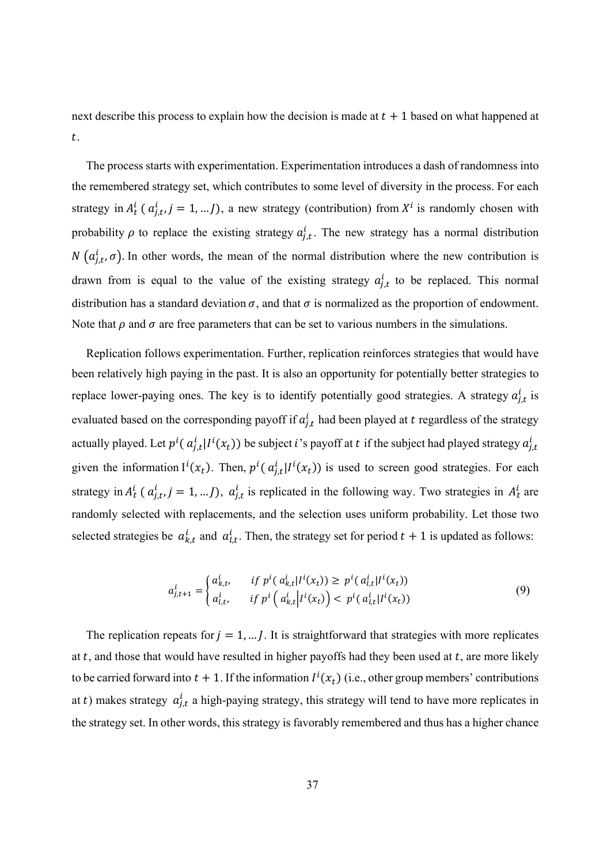next describe this process to explain how the decision is made at  $t + 1$  based on what happened at .

The process starts with experimentation. Experimentation introduces a dash of randomness into the remembered strategy set, which contributes to some level of diversity in the process. For each strategy in  $A_t^i$  ( $a_{j,t}^i$ , j = 1, ... J), a new strategy (contribution) from  $X^i$  is randomly chosen with probability  $\rho$  to replace the existing strategy  $a_{j,t}^i$ . The new strategy has a normal distribution  $N(a_{j,t}^i, \sigma)$ . In other words, the mean of the normal distribution where the new contribution is drawn from is equal to the value of the existing strategy  $a_{j,t}^i$  to be replaced. This normal distribution has a standard deviation  $\sigma$ , and that  $\sigma$  is normalized as the proportion of endowment. Note that  $\rho$  and  $\sigma$  are free parameters that can be set to various numbers in the simulations.

Replication follows experimentation. Further, replication reinforces strategies that would have been relatively high paying in the past. It is also an opportunity for potentially better strategies to replace lower-paying ones. The key is to identify potentially good strategies. A strategy  $a_{j,t}^i$  is evaluated based on the corresponding payoff if  $a_{j,t}^i$  had been played at t regardless of the strategy actually played. Let  $p^i$  ( $a^i_{j,t}$ | $I^i(x_t)$ ) be subject i's payoff at t if the subject had played strategy  $a^i_{j,t}$ given the information  $I^{i}(x_t)$ . Then,  $p^{i}(a_{j,t}^i | I^{i}(x_t))$  is used to screen good strategies. For each strategy in  $A_t^i$  ( $a_{j,t}^i$ , j = 1, ... J),  $a_{j,t}^i$  is replicated in the following way. Two strategies in  $A_t^i$  are randomly selected with replacements, and the selection uses uniform probability. Let those two selected strategies be  $a_{k,t}^i$  and  $a_{l,t}^i$ . Then, the strategy set for period  $t + 1$  is updated as follows:

$$
a_{j,t+1}^i = \begin{cases} a_{k,t}^i, & \text{if } p^i \left( a_{k,t}^i | I^i(x_t) \right) \geq p^i \left( a_{l,t}^i | I^i(x_t) \right) \\ a_{l,t}^i, & \text{if } p^i \left( a_{k,t}^i \middle| I^i(x_t) \right) < p^i \left( a_{l,t}^i | I^i(x_t) \right) \end{cases} \tag{9}
$$

The replication repeats for  $j = 1, \ldots, J$ . It is straightforward that strategies with more replicates at  $t$ , and those that would have resulted in higher payoffs had they been used at  $t$ , are more likely to be carried forward into  $t + 1$ . If the information  $I^i(x_t)$  (i.e., other group members' contributions at t) makes strategy  $a_{j,t}^{i}$  a high-paying strategy, this strategy will tend to have more replicates in the strategy set. In other words, this strategy is favorably remembered and thus has a higher chance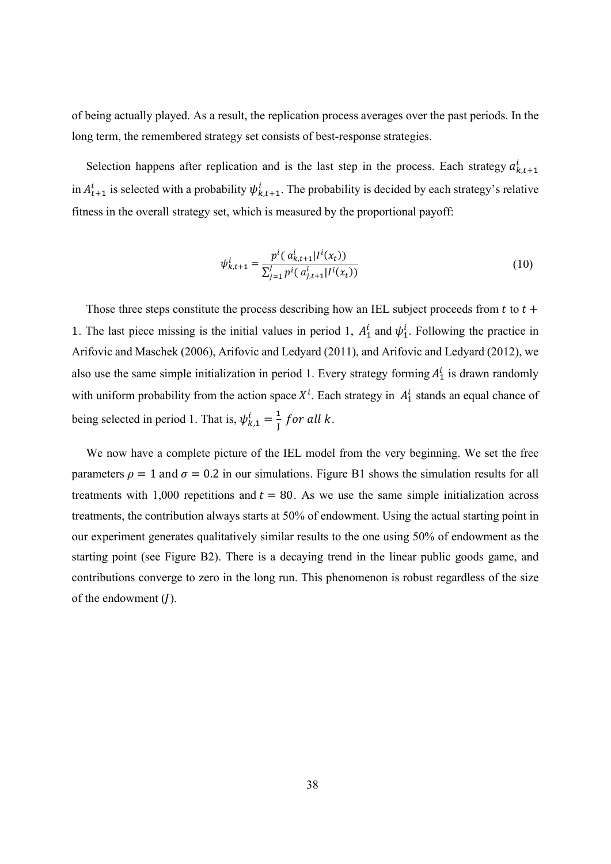of being actually played. As a result, the replication process averages over the past periods. In the long term, the remembered strategy set consists of best-response strategies.

Selection happens after replication and is the last step in the process. Each strategy  $a_{k,t+1}^i$ in  $A_{t+1}^i$  is selected with a probability  $\psi_{k,t+1}^i$ . The probability is decided by each strategy's relative fitness in the overall strategy set, which is measured by the proportional payoff:

$$
\psi_{k,t+1}^i = \frac{p^i ( a_{k,t+1}^i | I^i(x_t) )}{\sum_{j=1}^J p^i ( a_{j,t+1}^i | I^i(x_t) )}
$$
(10)

Those three steps constitute the process describing how an IEL subject proceeds from  $t$  to  $t +$ 1. The last piece missing is the initial values in period 1,  $A_1^i$  and  $\psi_1^i$ . Following the practice in Arifovic and Maschek (2006), Arifovic and Ledyard (2011), and Arifovic and Ledyard (2012), we also use the same simple initialization in period 1. Every strategy forming  $A_1^i$  is drawn randomly with uniform probability from the action space  $X^i$ . Each strategy in  $A_1^i$  stands an equal chance of being selected in period 1. That is,  $\psi_{k,1}^i = \frac{1}{1}$  for all k.

We now have a complete picture of the IEL model from the very beginning. We set the free parameters  $\rho = 1$  and  $\sigma = 0.2$  in our simulations. Figure B1 shows the simulation results for all treatments with 1,000 repetitions and  $t = 80$ . As we use the same simple initialization across treatments, the contribution always starts at 50% of endowment. Using the actual starting point in our experiment generates qualitatively similar results to the one using 50% of endowment as the starting point (see Figure B2). There is a decaying trend in the linear public goods game, and contributions converge to zero in the long run. This phenomenon is robust regardless of the size of the endowment  $(I)$ .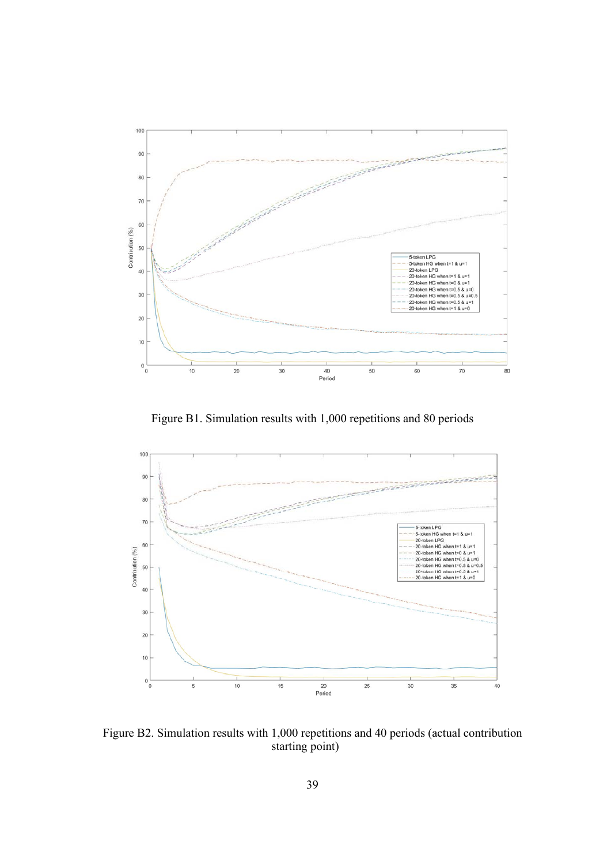

Figure B1. Simulation results with 1,000 repetitions and 80 periods



Figure B2. Simulation results with 1,000 repetitions and 40 periods (actual contribution starting point)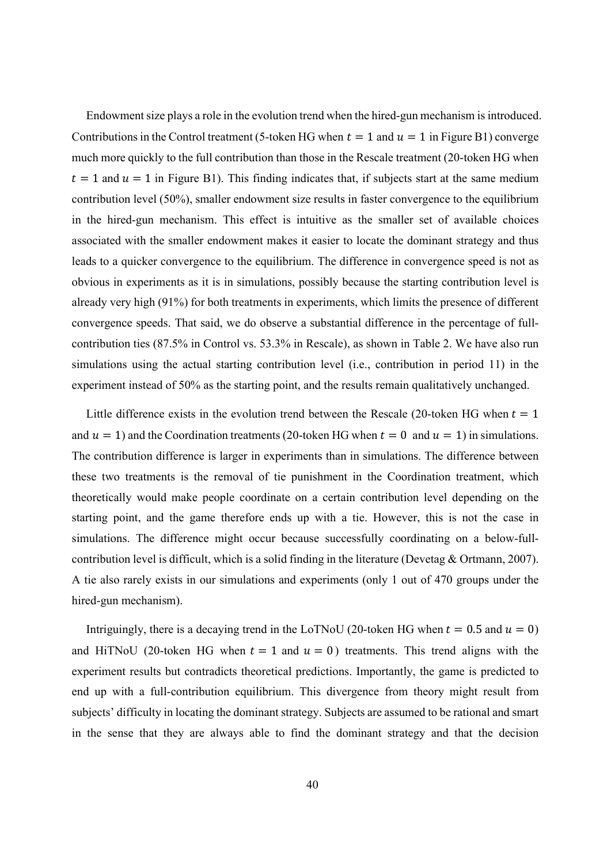Endowment size plays a role in the evolution trend when the hired-gun mechanism is introduced. Contributions in the Control treatment (5-token HG when  $t = 1$  and  $u = 1$  in Figure B1) converge much more quickly to the full contribution than those in the Rescale treatment (20-token HG when  $t = 1$  and  $u = 1$  in Figure B1). This finding indicates that, if subjects start at the same medium contribution level (50%), smaller endowment size results in faster convergence to the equilibrium in the hired-gun mechanism. This effect is intuitive as the smaller set of available choices associated with the smaller endowment makes it easier to locate the dominant strategy and thus leads to a quicker convergence to the equilibrium. The difference in convergence speed is not as obvious in experiments as it is in simulations, possibly because the starting contribution level is already very high (91%) for both treatments in experiments, which limits the presence of different convergence speeds. That said, we do observe a substantial difference in the percentage of fullcontribution ties (87.5% in Control vs. 53.3% in Rescale), as shown in Table 2. We have also run simulations using the actual starting contribution level (i.e., contribution in period 11) in the experiment instead of 50% as the starting point, and the results remain qualitatively unchanged.

Little difference exists in the evolution trend between the Rescale (20-token HG when  $t = 1$ ) and  $u = 1$ ) and the Coordination treatments (20-token HG when  $t = 0$  and  $u = 1$ ) in simulations. The contribution difference is larger in experiments than in simulations. The difference between these two treatments is the removal of tie punishment in the Coordination treatment, which theoretically would make people coordinate on a certain contribution level depending on the starting point, and the game therefore ends up with a tie. However, this is not the case in simulations. The difference might occur because successfully coordinating on a below-fullcontribution level is difficult, which is a solid finding in the literature (Devetag & Ortmann, 2007). A tie also rarely exists in our simulations and experiments (only 1 out of 470 groups under the hired-gun mechanism).

Intriguingly, there is a decaying trend in the LoTNoU (20-token HG when  $t = 0.5$  and  $u = 0$ ) and HiTNoU (20-token HG when  $t = 1$  and  $u = 0$ ) treatments. This trend aligns with the experiment results but contradicts theoretical predictions. Importantly, the game is predicted to end up with a full-contribution equilibrium. This divergence from theory might result from subjects' difficulty in locating the dominant strategy. Subjects are assumed to be rational and smart in the sense that they are always able to find the dominant strategy and that the decision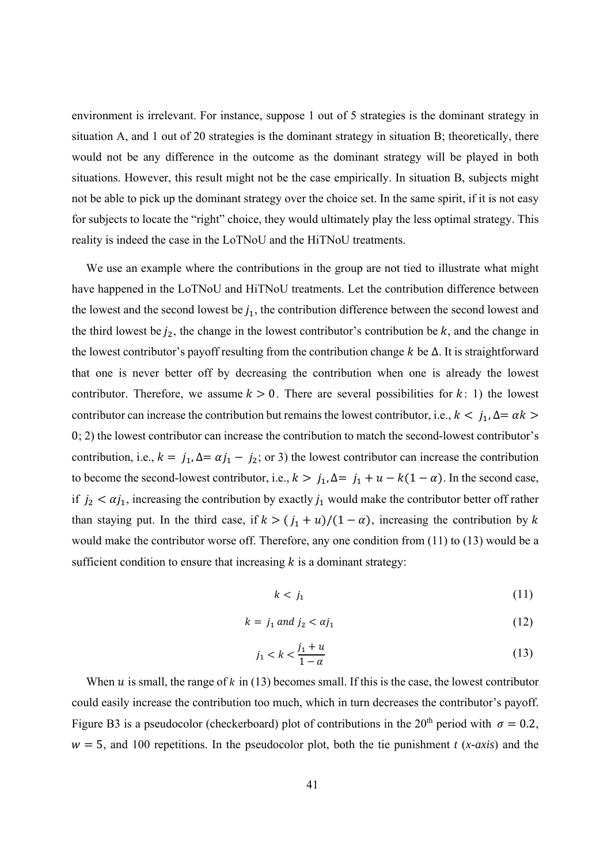environment is irrelevant. For instance, suppose 1 out of 5 strategies is the dominant strategy in situation A, and 1 out of 20 strategies is the dominant strategy in situation B; theoretically, there would not be any difference in the outcome as the dominant strategy will be played in both situations. However, this result might not be the case empirically. In situation B, subjects might not be able to pick up the dominant strategy over the choice set. In the same spirit, if it is not easy for subjects to locate the "right" choice, they would ultimately play the less optimal strategy. This reality is indeed the case in the LoTNoU and the HiTNoU treatments.

We use an example where the contributions in the group are not tied to illustrate what might have happened in the LoTNoU and HiTNoU treatments. Let the contribution difference between the lowest and the second lowest be  $j_1$ , the contribution difference between the second lowest and the third lowest be  $j_2$ , the change in the lowest contributor's contribution be  $k$ , and the change in the lowest contributor's payoff resulting from the contribution change  $k$  be  $\Delta$ . It is straightforward that one is never better off by decreasing the contribution when one is already the lowest contributor. Therefore, we assume  $k > 0$ . There are several possibilities for k: 1) the lowest contributor can increase the contribution but remains the lowest contributor, i.e.,  $k < j_1$ ,  $\Delta = \alpha k > j_2$ 0; 2) the lowest contributor can increase the contribution to match the second-lowest contributor's contribution, i.e.,  $k = j_1$ ,  $\Delta = \alpha j_1 - j_2$ ; or 3) the lowest contributor can increase the contribution to become the second-lowest contributor, i.e.,  $k > j_1$ ,  $\Delta = j_1 + u - k(1 - \alpha)$ . In the second case, if  $j_2 < \alpha j_1$ , increasing the contribution by exactly  $j_1$  would make the contributor better off rather than staying put. In the third case, if  $k > (j_1 + u)/(1 - \alpha)$ , increasing the contribution by k would make the contributor worse off. Therefore, any one condition from (11) to (13) would be a sufficient condition to ensure that increasing  $k$  is a dominant strategy:

$$
k < j_1 \tag{11}
$$

$$
k = j_1 \text{ and } j_2 < \alpha j_1 \tag{12}
$$

$$
j_1 < k < \frac{j_1 + u}{1 - \alpha} \tag{13}
$$

When u is small, the range of  $k$  in (13) becomes small. If this is the case, the lowest contributor could easily increase the contribution too much, which in turn decreases the contributor's payoff. Figure B3 is a pseudocolor (checkerboard) plot of contributions in the 20<sup>th</sup> period with  $\sigma = 0.2$ ,  $w = 5$ , and 100 repetitions. In the pseudocolor plot, both the tie punishment *t* (*x-axis*) and the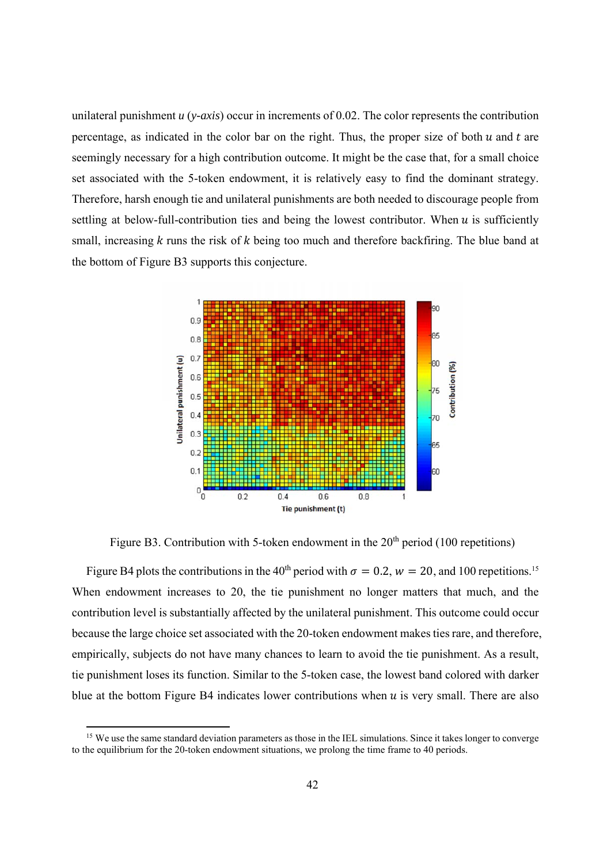unilateral punishment *u* (*y-axis*) occur in increments of 0.02. The color represents the contribution percentage, as indicated in the color bar on the right. Thus, the proper size of both  $u$  and  $t$  are seemingly necessary for a high contribution outcome. It might be the case that, for a small choice set associated with the 5-token endowment, it is relatively easy to find the dominant strategy. Therefore, harsh enough tie and unilateral punishments are both needed to discourage people from settling at below-full-contribution ties and being the lowest contributor. When  $u$  is sufficiently small, increasing  $k$  runs the risk of  $k$  being too much and therefore backfiring. The blue band at the bottom of Figure B3 supports this conjecture.



Figure B3. Contribution with 5-token endowment in the  $20<sup>th</sup>$  period (100 repetitions)

Figure B4 plots the contributions in the 40<sup>th</sup> period with  $\sigma = 0.2$ ,  $w = 20$ , and 100 repetitions.<sup>15</sup> When endowment increases to 20, the tie punishment no longer matters that much, and the contribution level is substantially affected by the unilateral punishment. This outcome could occur because the large choice set associated with the 20-token endowment makes ties rare, and therefore, empirically, subjects do not have many chances to learn to avoid the tie punishment. As a result, tie punishment loses its function. Similar to the 5-token case, the lowest band colored with darker blue at the bottom Figure B4 indicates lower contributions when  $u$  is very small. There are also

<sup>&</sup>lt;sup>15</sup> We use the same standard deviation parameters as those in the IEL simulations. Since it takes longer to converge to the equilibrium for the 20-token endowment situations, we prolong the time frame to 40 periods.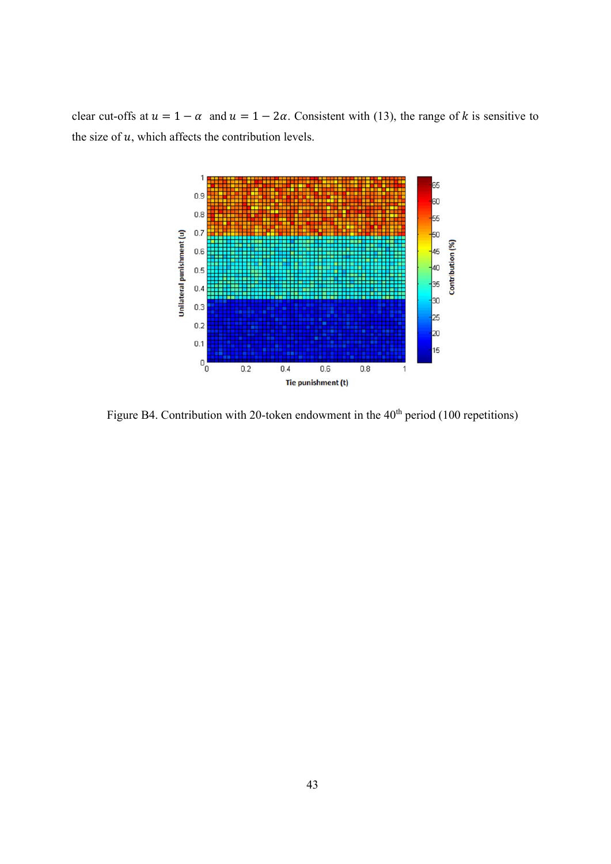clear cut-offs at  $u = 1 - \alpha$  and  $u = 1 - 2\alpha$ . Consistent with (13), the range of k is sensitive to the size of  $u$ , which affects the contribution levels.



Figure B4. Contribution with 20-token endowment in the 40<sup>th</sup> period (100 repetitions)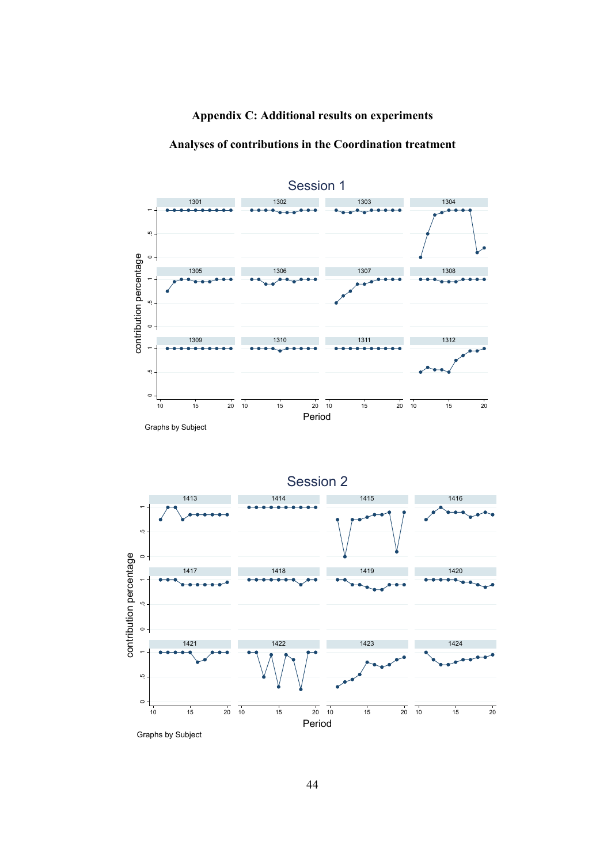## **Appendix C: Additional results on experiments**

## **Analyses of contributions in the Coordination treatment**



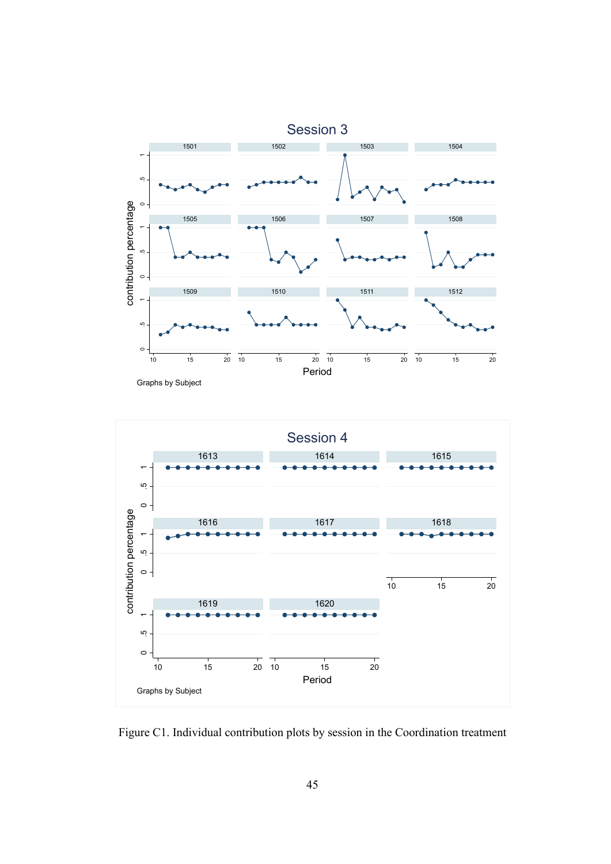



Figure C1. Individual contribution plots by session in the Coordination treatment